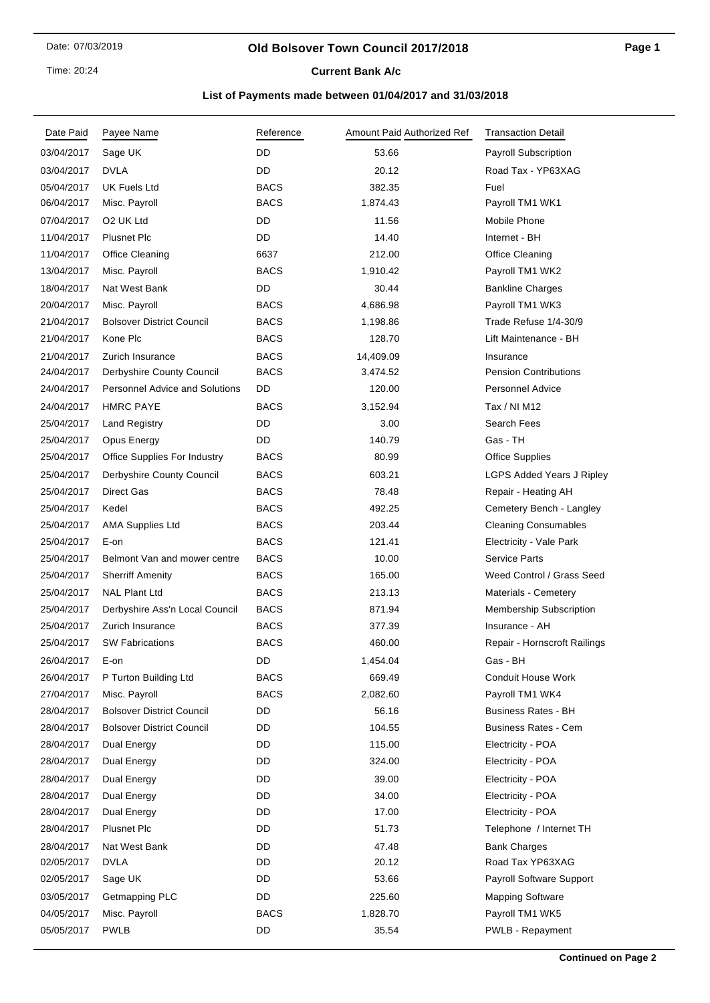Time: 20:24

# **Current Bank A/c**

| Date Paid  | Payee Name                            | Reference   | Amount Paid Authorized Ref | <b>Transaction Detail</b>        |
|------------|---------------------------------------|-------------|----------------------------|----------------------------------|
| 03/04/2017 | Sage UK                               | DD          | 53.66                      | <b>Payroll Subscription</b>      |
| 03/04/2017 | <b>DVLA</b>                           | DD          | 20.12                      | Road Tax - YP63XAG               |
| 05/04/2017 | <b>UK Fuels Ltd</b>                   | <b>BACS</b> | 382.35                     | Fuel                             |
| 06/04/2017 | Misc. Payroll                         | <b>BACS</b> | 1,874.43                   | Payroll TM1 WK1                  |
| 07/04/2017 | O <sub>2</sub> UK Ltd                 | DD          | 11.56                      | Mobile Phone                     |
| 11/04/2017 | <b>Plusnet Plc</b>                    | DD          | 14.40                      | Internet - BH                    |
| 11/04/2017 | Office Cleaning                       | 6637        | 212.00                     | Office Cleaning                  |
| 13/04/2017 | Misc. Payroll                         | <b>BACS</b> | 1,910.42                   | Payroll TM1 WK2                  |
| 18/04/2017 | Nat West Bank                         | DD          | 30.44                      | <b>Bankline Charges</b>          |
| 20/04/2017 | Misc. Payroll                         | <b>BACS</b> | 4,686.98                   | Payroll TM1 WK3                  |
| 21/04/2017 | <b>Bolsover District Council</b>      | <b>BACS</b> | 1,198.86                   | Trade Refuse 1/4-30/9            |
| 21/04/2017 | Kone Plc                              | BACS        | 128.70                     | Lift Maintenance - BH            |
| 21/04/2017 | Zurich Insurance                      | <b>BACS</b> | 14,409.09                  | Insurance                        |
| 24/04/2017 | Derbyshire County Council             | <b>BACS</b> | 3,474.52                   | <b>Pension Contributions</b>     |
| 24/04/2017 | <b>Personnel Advice and Solutions</b> | DD          | 120.00                     | <b>Personnel Advice</b>          |
| 24/04/2017 | <b>HMRC PAYE</b>                      | <b>BACS</b> | 3,152.94                   | Tax / NI M12                     |
| 25/04/2017 | <b>Land Registry</b>                  | DD          | 3.00                       | Search Fees                      |
| 25/04/2017 | Opus Energy                           | DD          | 140.79                     | Gas - TH                         |
| 25/04/2017 | <b>Office Supplies For Industry</b>   | <b>BACS</b> | 80.99                      | <b>Office Supplies</b>           |
| 25/04/2017 | Derbyshire County Council             | BACS        | 603.21                     | <b>LGPS Added Years J Ripley</b> |
| 25/04/2017 | <b>Direct Gas</b>                     | <b>BACS</b> | 78.48                      | Repair - Heating AH              |
| 25/04/2017 | Kedel                                 | <b>BACS</b> | 492.25                     | Cemetery Bench - Langley         |
| 25/04/2017 | <b>AMA Supplies Ltd</b>               | <b>BACS</b> | 203.44                     | <b>Cleaning Consumables</b>      |
| 25/04/2017 | E-on                                  | <b>BACS</b> | 121.41                     | Electricity - Vale Park          |
| 25/04/2017 | Belmont Van and mower centre          | <b>BACS</b> | 10.00                      | <b>Service Parts</b>             |
| 25/04/2017 | <b>Sherriff Amenity</b>               | <b>BACS</b> | 165.00                     | Weed Control / Grass Seed        |
| 25/04/2017 | <b>NAL Plant Ltd</b>                  | <b>BACS</b> | 213.13                     | Materials - Cemetery             |
| 25/04/2017 | Derbyshire Ass'n Local Council        | <b>BACS</b> | 871.94                     | Membership Subscription          |
| 25/04/2017 | Zurich Insurance                      | <b>BACS</b> | 377.39                     | Insurance - AH                   |
| 25/04/2017 | <b>SW Fabrications</b>                | <b>BACS</b> | 460.00                     | Repair - Hornscroft Railings     |
| 26/04/2017 | E-on                                  | DD          | 1,454.04                   | Gas - BH                         |
| 26/04/2017 | P Turton Building Ltd                 | <b>BACS</b> | 669.49                     | Conduit House Work               |
| 27/04/2017 | Misc. Payroll                         | <b>BACS</b> | 2,082.60                   | Payroll TM1 WK4                  |
| 28/04/2017 | <b>Bolsover District Council</b>      | DD          | 56.16                      | <b>Business Rates - BH</b>       |
| 28/04/2017 | <b>Bolsover District Council</b>      | DD          | 104.55                     | <b>Business Rates - Cem</b>      |
| 28/04/2017 | Dual Energy                           | DD          | 115.00                     | Electricity - POA                |
| 28/04/2017 | Dual Energy                           | DD          | 324.00                     | Electricity - POA                |
| 28/04/2017 | Dual Energy                           | DD          | 39.00                      | Electricity - POA                |
| 28/04/2017 | Dual Energy                           | DD          | 34.00                      | Electricity - POA                |
| 28/04/2017 | Dual Energy                           | DD          | 17.00                      | Electricity - POA                |
| 28/04/2017 | <b>Plusnet Plc</b>                    | DD          | 51.73                      | Telephone / Internet TH          |
| 28/04/2017 | Nat West Bank                         | DD          | 47.48                      | <b>Bank Charges</b>              |
| 02/05/2017 | DVLA                                  | DD          | 20.12                      | Road Tax YP63XAG                 |
| 02/05/2017 | Sage UK                               | DD          | 53.66                      | <b>Payroll Software Support</b>  |
| 03/05/2017 | Getmapping PLC                        | DD          | 225.60                     | <b>Mapping Software</b>          |
| 04/05/2017 | Misc. Payroll                         | <b>BACS</b> | 1,828.70                   | Payroll TM1 WK5                  |
| 05/05/2017 | <b>PWLB</b>                           | DD          | 35.54                      | PWLB - Repayment                 |
|            |                                       |             |                            |                                  |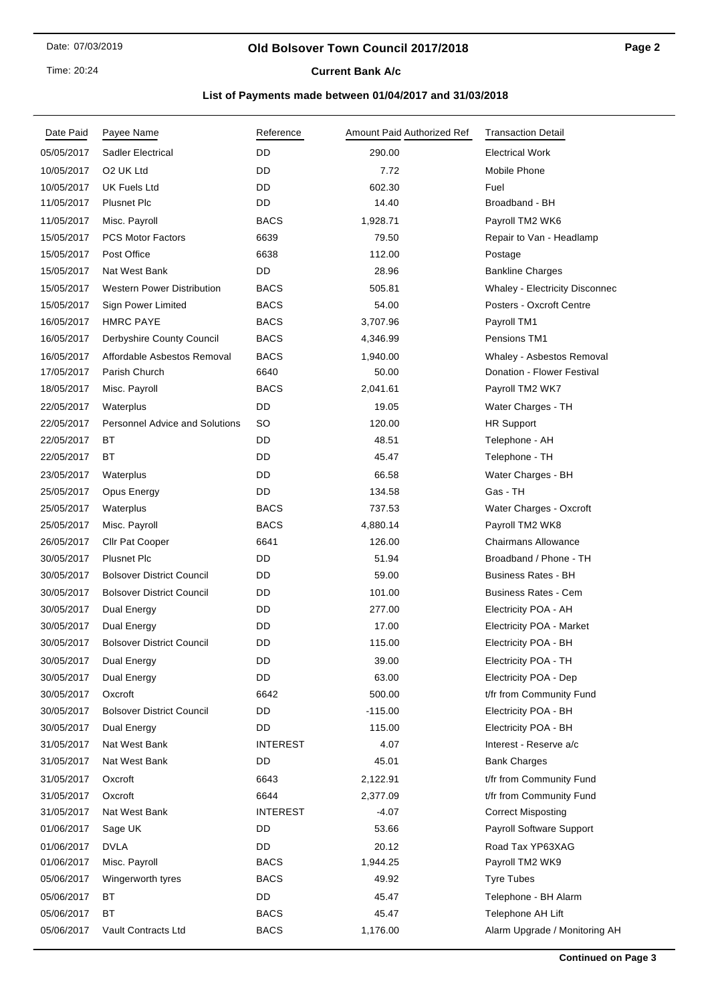Time: 20:24

## **Current Bank A/c**

| Date Paid  | Payee Name                            | Reference       | Amount Paid Authorized Ref | <b>Transaction Detail</b>             |
|------------|---------------------------------------|-----------------|----------------------------|---------------------------------------|
| 05/05/2017 | <b>Sadler Electrical</b>              | <b>DD</b>       | 290.00                     | <b>Electrical Work</b>                |
| 10/05/2017 | O <sub>2</sub> UK Ltd                 | DD              | 7.72                       | Mobile Phone                          |
| 10/05/2017 | <b>UK Fuels Ltd</b>                   | DD              | 602.30                     | Fuel                                  |
| 11/05/2017 | <b>Plusnet Plc</b>                    | DD              | 14.40                      | Broadband - BH                        |
| 11/05/2017 | Misc. Payroll                         | <b>BACS</b>     | 1,928.71                   | Payroll TM2 WK6                       |
| 15/05/2017 | <b>PCS Motor Factors</b>              | 6639            | 79.50                      | Repair to Van - Headlamp              |
| 15/05/2017 | Post Office                           | 6638            | 112.00                     | Postage                               |
| 15/05/2017 | Nat West Bank                         | DD              | 28.96                      | <b>Bankline Charges</b>               |
| 15/05/2017 | <b>Western Power Distribution</b>     | <b>BACS</b>     | 505.81                     | <b>Whaley - Electricity Disconnec</b> |
| 15/05/2017 | Sign Power Limited                    | <b>BACS</b>     | 54.00                      | Posters - Oxcroft Centre              |
| 16/05/2017 | <b>HMRC PAYE</b>                      | <b>BACS</b>     | 3,707.96                   | Payroll TM1                           |
| 16/05/2017 | Derbyshire County Council             | <b>BACS</b>     | 4,346.99                   | Pensions TM1                          |
| 16/05/2017 | Affordable Asbestos Removal           | <b>BACS</b>     | 1,940.00                   | Whaley - Asbestos Removal             |
| 17/05/2017 | Parish Church                         | 6640            | 50.00                      | Donation - Flower Festival            |
| 18/05/2017 | Misc. Payroll                         | <b>BACS</b>     | 2,041.61                   | Payroll TM2 WK7                       |
| 22/05/2017 | Waterplus                             | DD              | 19.05                      | Water Charges - TH                    |
| 22/05/2017 | <b>Personnel Advice and Solutions</b> | SO              | 120.00                     | <b>HR Support</b>                     |
| 22/05/2017 | ВT                                    | DD              | 48.51                      | Telephone - AH                        |
| 22/05/2017 | BT                                    | DD              | 45.47                      | Telephone - TH                        |
| 23/05/2017 | Waterplus                             | DD              | 66.58                      | Water Charges - BH                    |
| 25/05/2017 | Opus Energy                           | DD              | 134.58                     | Gas - TH                              |
| 25/05/2017 | Waterplus                             | <b>BACS</b>     | 737.53                     | Water Charges - Oxcroft               |
| 25/05/2017 | Misc. Payroll                         | <b>BACS</b>     | 4,880.14                   | Payroll TM2 WK8                       |
| 26/05/2017 | Cllr Pat Cooper                       | 6641            | 126.00                     | <b>Chairmans Allowance</b>            |
| 30/05/2017 | <b>Plusnet Plc</b>                    | DD              | 51.94                      | Broadband / Phone - TH                |
| 30/05/2017 | <b>Bolsover District Council</b>      | DD              | 59.00                      | <b>Business Rates - BH</b>            |
| 30/05/2017 | <b>Bolsover District Council</b>      | DD              | 101.00                     | <b>Business Rates - Cem</b>           |
| 30/05/2017 | Dual Energy                           | DD              | 277.00                     | Electricity POA - AH                  |
| 30/05/2017 | Dual Energy                           | DD              | 17.00                      | Electricity POA - Market              |
| 30/05/2017 | <b>Bolsover District Council</b>      | DD              | 115.00                     | Electricity POA - BH                  |
| 30/05/2017 | Dual Energy                           | DD              | 39.00                      | Electricity POA - TH                  |
| 30/05/2017 | Dual Energy                           | DD              | 63.00                      | Electricity POA - Dep                 |
| 30/05/2017 | Oxcroft                               | 6642            | 500.00                     | t/fr from Community Fund              |
| 30/05/2017 | <b>Bolsover District Council</b>      | DD              | $-115.00$                  | Electricity POA - BH                  |
| 30/05/2017 | Dual Energy                           | DD              | 115.00                     | Electricity POA - BH                  |
| 31/05/2017 | Nat West Bank                         | <b>INTEREST</b> | 4.07                       | Interest - Reserve a/c                |
| 31/05/2017 | Nat West Bank                         | DD              | 45.01                      | <b>Bank Charges</b>                   |
| 31/05/2017 | Oxcroft                               | 6643            | 2,122.91                   | t/fr from Community Fund              |
| 31/05/2017 | Oxcroft                               | 6644            | 2,377.09                   | t/fr from Community Fund              |
| 31/05/2017 | Nat West Bank                         | <b>INTEREST</b> | $-4.07$                    | <b>Correct Misposting</b>             |
| 01/06/2017 | Sage UK                               | DD              | 53.66                      | Payroll Software Support              |
| 01/06/2017 | <b>DVLA</b>                           | DD              | 20.12                      | Road Tax YP63XAG                      |
| 01/06/2017 | Misc. Payroll                         | <b>BACS</b>     | 1,944.25                   | Payroll TM2 WK9                       |
| 05/06/2017 | Wingerworth tyres                     | <b>BACS</b>     | 49.92                      | <b>Tyre Tubes</b>                     |
| 05/06/2017 | ВT                                    | DD              | 45.47                      | Telephone - BH Alarm                  |
| 05/06/2017 | ВT                                    | <b>BACS</b>     | 45.47                      | Telephone AH Lift                     |
| 05/06/2017 | Vault Contracts Ltd                   | <b>BACS</b>     | 1,176.00                   | Alarm Upgrade / Monitoring AH         |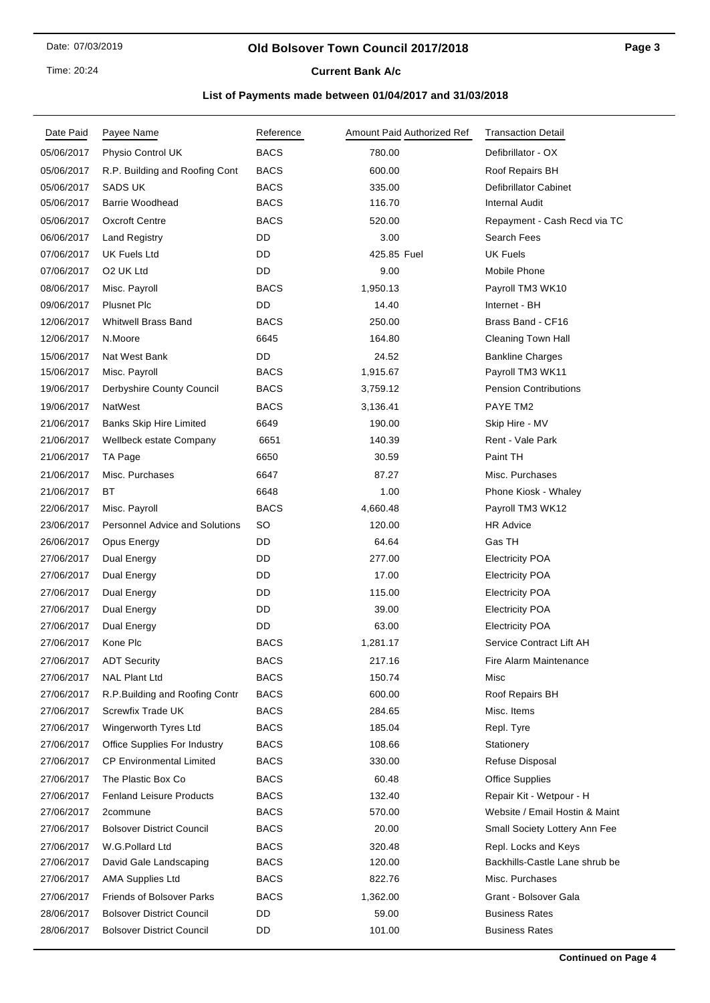Time: 20:24

## **Current Bank A/c**

| Date Paid  | Payee Name                            | Reference   | Amount Paid Authorized Ref | <b>Transaction Detail</b>      |
|------------|---------------------------------------|-------------|----------------------------|--------------------------------|
| 05/06/2017 | Physio Control UK                     | <b>BACS</b> | 780.00                     | Defibrillator - OX             |
| 05/06/2017 | R.P. Building and Roofing Cont        | <b>BACS</b> | 600.00                     | Roof Repairs BH                |
| 05/06/2017 | <b>SADS UK</b>                        | <b>BACS</b> | 335.00                     | <b>Defibrillator Cabinet</b>   |
| 05/06/2017 | <b>Barrie Woodhead</b>                | <b>BACS</b> | 116.70                     | <b>Internal Audit</b>          |
| 05/06/2017 | <b>Oxcroft Centre</b>                 | <b>BACS</b> | 520.00                     | Repayment - Cash Recd via TC   |
| 06/06/2017 | <b>Land Registry</b>                  | DD          | 3.00                       | Search Fees                    |
| 07/06/2017 | <b>UK Fuels Ltd</b>                   | DD          | 425.85 Fuel                | <b>UK Fuels</b>                |
| 07/06/2017 | O2 UK Ltd                             | DD          | 9.00                       | Mobile Phone                   |
| 08/06/2017 | Misc. Payroll                         | <b>BACS</b> | 1,950.13                   | Payroll TM3 WK10               |
| 09/06/2017 | <b>Plusnet Plc</b>                    | DD          | 14.40                      | Internet - BH                  |
| 12/06/2017 | <b>Whitwell Brass Band</b>            | <b>BACS</b> | 250.00                     | Brass Band - CF16              |
| 12/06/2017 | N.Moore                               | 6645        | 164.80                     | <b>Cleaning Town Hall</b>      |
| 15/06/2017 | Nat West Bank                         | DD          | 24.52                      | <b>Bankline Charges</b>        |
| 15/06/2017 | Misc. Payroll                         | <b>BACS</b> | 1,915.67                   | Payroll TM3 WK11               |
| 19/06/2017 | Derbyshire County Council             | <b>BACS</b> | 3,759.12                   | <b>Pension Contributions</b>   |
| 19/06/2017 | NatWest                               | <b>BACS</b> | 3,136.41                   | PAYE TM2                       |
| 21/06/2017 | <b>Banks Skip Hire Limited</b>        | 6649        | 190.00                     | Skip Hire - MV                 |
| 21/06/2017 | Wellbeck estate Company               | 6651        | 140.39                     | Rent - Vale Park               |
| 21/06/2017 | TA Page                               | 6650        | 30.59                      | Paint TH                       |
| 21/06/2017 | Misc. Purchases                       | 6647        | 87.27                      | Misc. Purchases                |
| 21/06/2017 | <b>BT</b>                             | 6648        | 1.00                       | Phone Kiosk - Whaley           |
| 22/06/2017 | Misc. Payroll                         | <b>BACS</b> | 4,660.48                   | Payroll TM3 WK12               |
| 23/06/2017 | <b>Personnel Advice and Solutions</b> | SO          | 120.00                     | <b>HR Advice</b>               |
| 26/06/2017 | Opus Energy                           | DD          | 64.64                      | Gas TH                         |
| 27/06/2017 | Dual Energy                           | DD          | 277.00                     | <b>Electricity POA</b>         |
| 27/06/2017 | Dual Energy                           | DD          | 17.00                      | <b>Electricity POA</b>         |
| 27/06/2017 | Dual Energy                           | DD          | 115.00                     | <b>Electricity POA</b>         |
| 27/06/2017 | Dual Energy                           | DD          | 39.00                      | <b>Electricity POA</b>         |
| 27/06/2017 | Dual Energy                           | DD          | 63.00                      | <b>Electricity POA</b>         |
| 27/06/2017 | Kone Plc                              | <b>BACS</b> | 1,281.17                   | Service Contract Lift AH       |
| 27/06/2017 | <b>ADT Security</b>                   | <b>BACS</b> | 217.16                     | Fire Alarm Maintenance         |
| 27/06/2017 | <b>NAL Plant Ltd</b>                  | <b>BACS</b> | 150.74                     | Misc                           |
| 27/06/2017 | R.P.Building and Roofing Contr        | <b>BACS</b> | 600.00                     | Roof Repairs BH                |
| 27/06/2017 | Screwfix Trade UK                     | <b>BACS</b> | 284.65                     | Misc. Items                    |
| 27/06/2017 | Wingerworth Tyres Ltd                 | <b>BACS</b> | 185.04                     | Repl. Tyre                     |
| 27/06/2017 | <b>Office Supplies For Industry</b>   | <b>BACS</b> | 108.66                     | Stationery                     |
| 27/06/2017 | <b>CP Environmental Limited</b>       | <b>BACS</b> | 330.00                     | <b>Refuse Disposal</b>         |
| 27/06/2017 | The Plastic Box Co                    | <b>BACS</b> | 60.48                      | <b>Office Supplies</b>         |
| 27/06/2017 | <b>Fenland Leisure Products</b>       | <b>BACS</b> | 132.40                     | Repair Kit - Wetpour - H       |
| 27/06/2017 | 2commune                              | <b>BACS</b> | 570.00                     | Website / Email Hostin & Maint |
| 27/06/2017 | <b>Bolsover District Council</b>      | <b>BACS</b> | 20.00                      | Small Society Lottery Ann Fee  |
| 27/06/2017 | W.G.Pollard Ltd                       | <b>BACS</b> | 320.48                     | Repl. Locks and Keys           |
| 27/06/2017 | David Gale Landscaping                | <b>BACS</b> | 120.00                     | Backhills-Castle Lane shrub be |
| 27/06/2017 | AMA Supplies Ltd                      | BACS        | 822.76                     | Misc. Purchases                |
| 27/06/2017 | <b>Friends of Bolsover Parks</b>      | <b>BACS</b> | 1,362.00                   | Grant - Bolsover Gala          |
| 28/06/2017 | <b>Bolsover District Council</b>      | DD          | 59.00                      | <b>Business Rates</b>          |
| 28/06/2017 | <b>Bolsover District Council</b>      | DD          | 101.00                     | <b>Business Rates</b>          |
|            |                                       |             |                            |                                |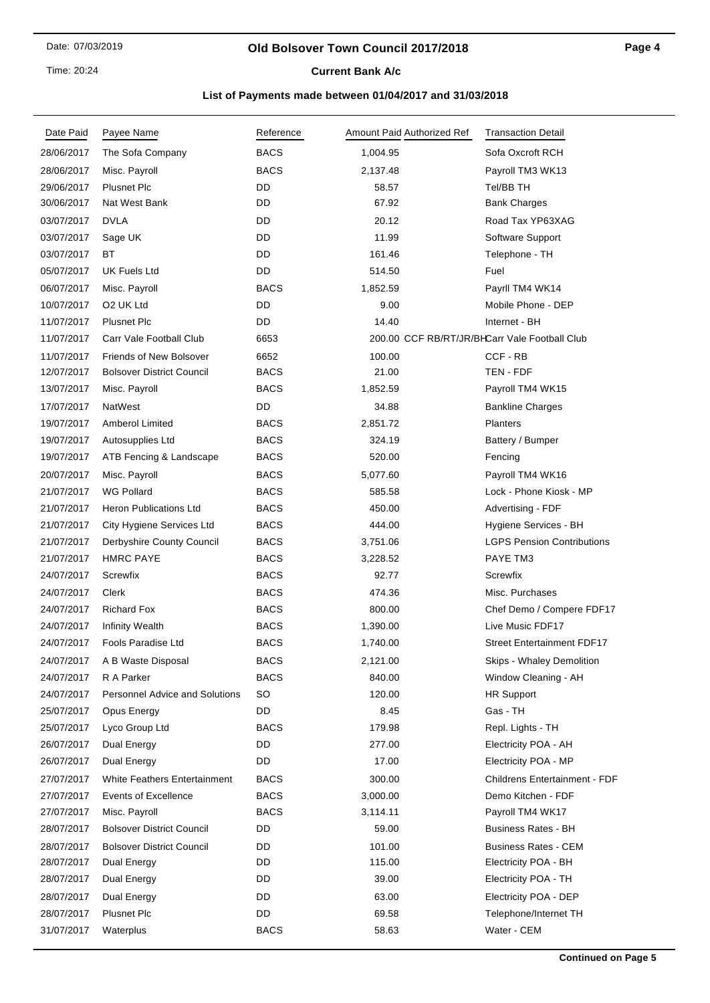Time: 20:24

# **Current Bank A/c**

| Date Paid  | Payee Name                            | Reference   | Amount Paid Authorized Ref | <b>Transaction Detail</b>                     |
|------------|---------------------------------------|-------------|----------------------------|-----------------------------------------------|
| 28/06/2017 | The Sofa Company                      | <b>BACS</b> | 1,004.95                   | Sofa Oxcroft RCH                              |
| 28/06/2017 | Misc. Payroll                         | <b>BACS</b> | 2,137.48                   | Payroll TM3 WK13                              |
| 29/06/2017 | <b>Plusnet Plc</b>                    | DD          | 58.57                      | Tel/BB TH                                     |
| 30/06/2017 | Nat West Bank                         | DD          | 67.92                      | <b>Bank Charges</b>                           |
| 03/07/2017 | <b>DVLA</b>                           | DD          | 20.12                      | Road Tax YP63XAG                              |
| 03/07/2017 | Sage UK                               | DD          | 11.99                      | Software Support                              |
| 03/07/2017 | ВT                                    | DD          | 161.46                     | Telephone - TH                                |
| 05/07/2017 | UK Fuels Ltd                          | DD          | 514.50                     | Fuel                                          |
| 06/07/2017 | Misc. Payroll                         | <b>BACS</b> | 1,852.59                   | Payrll TM4 WK14                               |
| 10/07/2017 | O <sub>2</sub> UK Ltd                 | DD          | 9.00                       | Mobile Phone - DEP                            |
| 11/07/2017 | <b>Plusnet Plc</b>                    | DD          | 14.40                      | Internet - BH                                 |
| 11/07/2017 | Carr Vale Football Club               | 6653        |                            | 200.00 CCF RB/RT/JR/BHCarr Vale Football Club |
| 11/07/2017 | <b>Friends of New Bolsover</b>        | 6652        | 100.00                     | CCF - RB                                      |
| 12/07/2017 | <b>Bolsover District Council</b>      | <b>BACS</b> | 21.00                      | TEN - FDF                                     |
| 13/07/2017 | Misc. Payroll                         | <b>BACS</b> | 1,852.59                   | Payroll TM4 WK15                              |
| 17/07/2017 | NatWest                               | DD          | 34.88                      | <b>Bankline Charges</b>                       |
| 19/07/2017 | <b>Amberol Limited</b>                | <b>BACS</b> | 2,851.72                   | <b>Planters</b>                               |
| 19/07/2017 | Autosupplies Ltd                      | <b>BACS</b> | 324.19                     | Battery / Bumper                              |
| 19/07/2017 | ATB Fencing & Landscape               | <b>BACS</b> | 520.00                     | Fencing                                       |
| 20/07/2017 | Misc. Payroll                         | <b>BACS</b> | 5,077.60                   | Payroll TM4 WK16                              |
| 21/07/2017 | <b>WG Pollard</b>                     | <b>BACS</b> | 585.58                     | Lock - Phone Kiosk - MP                       |
| 21/07/2017 | <b>Heron Publications Ltd</b>         | <b>BACS</b> | 450.00                     | Advertising - FDF                             |
| 21/07/2017 | City Hygiene Services Ltd             | <b>BACS</b> | 444.00                     | Hygiene Services - BH                         |
| 21/07/2017 | Derbyshire County Council             | <b>BACS</b> | 3,751.06                   | <b>LGPS Pension Contributions</b>             |
| 21/07/2017 | <b>HMRC PAYE</b>                      | <b>BACS</b> | 3,228.52                   | PAYE TM3                                      |
| 24/07/2017 | Screwfix                              | <b>BACS</b> | 92.77                      | Screwfix                                      |
| 24/07/2017 | Clerk                                 | <b>BACS</b> | 474.36                     | Misc. Purchases                               |
| 24/07/2017 | <b>Richard Fox</b>                    | <b>BACS</b> | 800.00                     | Chef Demo / Compere FDF17                     |
| 24/07/2017 | <b>Infinity Wealth</b>                | <b>BACS</b> | 1,390.00                   | Live Music FDF17                              |
| 24/07/2017 | <b>Fools Paradise Ltd</b>             | <b>BACS</b> | 1,740.00                   | <b>Street Entertainment FDF17</b>             |
| 24/07/2017 | A B Waste Disposal                    | <b>BACS</b> | 2,121.00                   | Skips - Whaley Demolition                     |
| 24/07/2017 | R A Parker                            | <b>BACS</b> | 840.00                     | Window Cleaning - AH                          |
| 24/07/2017 | <b>Personnel Advice and Solutions</b> | <b>SO</b>   | 120.00                     | <b>HR Support</b>                             |
| 25/07/2017 | Opus Energy                           | DD          | 8.45                       | Gas - TH                                      |
| 25/07/2017 | Lyco Group Ltd                        | <b>BACS</b> | 179.98                     | Repl. Lights - TH                             |
| 26/07/2017 | Dual Energy                           | DD          | 277.00                     | Electricity POA - AH                          |
| 26/07/2017 | Dual Energy                           | DD          | 17.00                      | Electricity POA - MP                          |
| 27/07/2017 | <b>White Feathers Entertainment</b>   | <b>BACS</b> | 300.00                     | <b>Childrens Entertainment - FDF</b>          |
| 27/07/2017 | Events of Excellence                  | <b>BACS</b> | 3,000.00                   | Demo Kitchen - FDF                            |
| 27/07/2017 | Misc. Payroll                         | <b>BACS</b> | 3,114.11                   | Payroll TM4 WK17                              |
| 28/07/2017 | <b>Bolsover District Council</b>      | DD          | 59.00                      | <b>Business Rates - BH</b>                    |
| 28/07/2017 | <b>Bolsover District Council</b>      | DD          | 101.00                     | <b>Business Rates - CEM</b>                   |
| 28/07/2017 | Dual Energy                           | DD          | 115.00                     | Electricity POA - BH                          |
| 28/07/2017 | Dual Energy                           | DD          | 39.00                      | Electricity POA - TH                          |
| 28/07/2017 | Dual Energy                           | DD          | 63.00                      | Electricity POA - DEP                         |
| 28/07/2017 | <b>Plusnet Plc</b>                    | DD          | 69.58                      | Telephone/Internet TH                         |
| 31/07/2017 | Waterplus                             | <b>BACS</b> | 58.63                      | Water - CEM                                   |
|            |                                       |             |                            |                                               |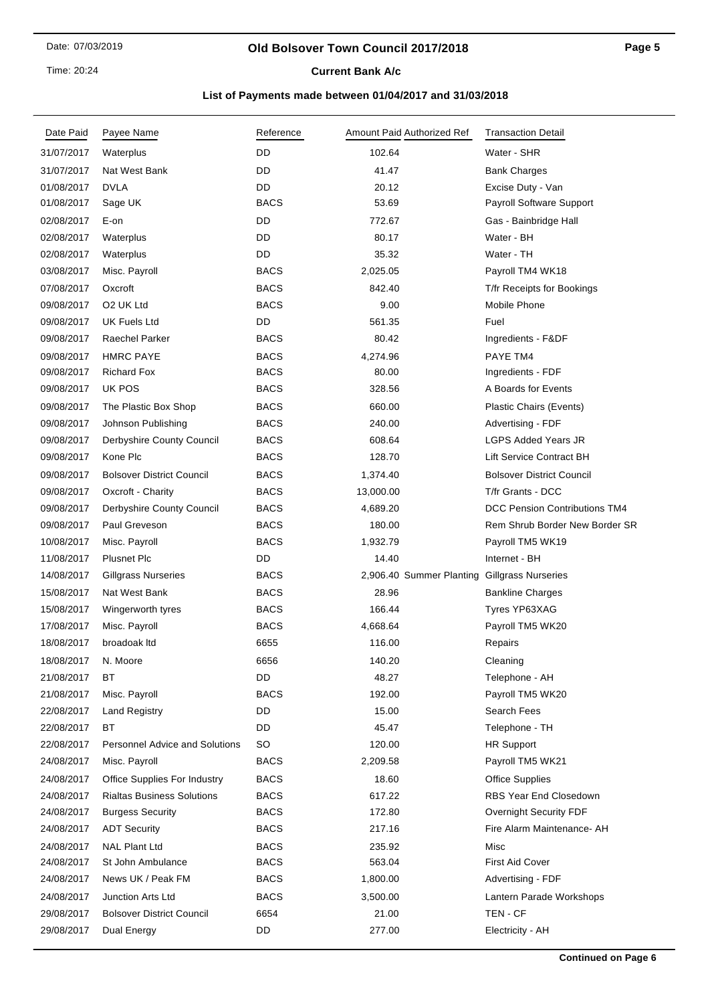Time: 20:24

# **Current Bank A/c**

| Date Paid  | Payee Name                            | Reference   | Amount Paid Authorized Ref                   | <b>Transaction Detail</b>        |
|------------|---------------------------------------|-------------|----------------------------------------------|----------------------------------|
| 31/07/2017 | Waterplus                             | DD          | 102.64                                       | Water - SHR                      |
| 31/07/2017 | Nat West Bank                         | DD          | 41.47                                        | <b>Bank Charges</b>              |
| 01/08/2017 | <b>DVLA</b>                           | DD          | 20.12                                        | Excise Duty - Van                |
| 01/08/2017 | Sage UK                               | <b>BACS</b> | 53.69                                        | Payroll Software Support         |
| 02/08/2017 | E-on                                  | DD          | 772.67                                       | Gas - Bainbridge Hall            |
| 02/08/2017 | Waterplus                             | DD          | 80.17                                        | Water - BH                       |
| 02/08/2017 | Waterplus                             | DD          | 35.32                                        | Water - TH                       |
| 03/08/2017 | Misc. Payroll                         | <b>BACS</b> | 2,025.05                                     | Payroll TM4 WK18                 |
| 07/08/2017 | Oxcroft                               | <b>BACS</b> | 842.40                                       | T/fr Receipts for Bookings       |
| 09/08/2017 | O <sub>2</sub> UK Ltd                 | <b>BACS</b> | 9.00                                         | Mobile Phone                     |
| 09/08/2017 | <b>UK Fuels Ltd</b>                   | DD          | 561.35                                       | Fuel                             |
| 09/08/2017 | Raechel Parker                        | <b>BACS</b> | 80.42                                        | Ingredients - F&DF               |
| 09/08/2017 | <b>HMRC PAYE</b>                      | <b>BACS</b> | 4,274.96                                     | PAYE TM4                         |
| 09/08/2017 | <b>Richard Fox</b>                    | <b>BACS</b> | 80.00                                        | Ingredients - FDF                |
| 09/08/2017 | UK POS                                | <b>BACS</b> | 328.56                                       | A Boards for Events              |
| 09/08/2017 | The Plastic Box Shop                  | <b>BACS</b> | 660.00                                       | Plastic Chairs (Events)          |
| 09/08/2017 | Johnson Publishing                    | <b>BACS</b> | 240.00                                       | Advertising - FDF                |
| 09/08/2017 | Derbyshire County Council             | <b>BACS</b> | 608.64                                       | <b>LGPS Added Years JR</b>       |
| 09/08/2017 | Kone Plc                              | <b>BACS</b> | 128.70                                       | Lift Service Contract BH         |
| 09/08/2017 | <b>Bolsover District Council</b>      | <b>BACS</b> | 1,374.40                                     | <b>Bolsover District Council</b> |
| 09/08/2017 | Oxcroft - Charity                     | <b>BACS</b> | 13,000.00                                    | T/fr Grants - DCC                |
| 09/08/2017 | Derbyshire County Council             | <b>BACS</b> | 4,689.20                                     | DCC Pension Contributions TM4    |
| 09/08/2017 | Paul Greveson                         | <b>BACS</b> | 180.00                                       | Rem Shrub Border New Border SR   |
| 10/08/2017 | Misc. Payroll                         | <b>BACS</b> | 1,932.79                                     | Payroll TM5 WK19                 |
| 11/08/2017 | <b>Plusnet Plc</b>                    | DD          | 14.40                                        | Internet - BH                    |
| 14/08/2017 | Gillgrass Nurseries                   | <b>BACS</b> | 2,906.40 Summer Planting Gillgrass Nurseries |                                  |
| 15/08/2017 | Nat West Bank                         | <b>BACS</b> | 28.96                                        | <b>Bankline Charges</b>          |
| 15/08/2017 | Wingerworth tyres                     | <b>BACS</b> | 166.44                                       | Tyres YP63XAG                    |
| 17/08/2017 | Misc. Payroll                         | <b>BACS</b> | 4,668.64                                     | Payroll TM5 WK20                 |
| 18/08/2017 | broadoak Itd                          | 6655        | 116.00                                       | Repairs                          |
| 18/08/2017 | N. Moore                              | 6656        | 140.20                                       | Cleaning                         |
| 21/08/2017 | BT                                    | DD          | 48.27                                        | Telephone - AH                   |
| 21/08/2017 | Misc. Payroll                         | <b>BACS</b> | 192.00                                       | Payroll TM5 WK20                 |
| 22/08/2017 | <b>Land Registry</b>                  | DD          | 15.00                                        | Search Fees                      |
| 22/08/2017 | ВT                                    | DD          | 45.47                                        | Telephone - TH                   |
| 22/08/2017 | <b>Personnel Advice and Solutions</b> | SO          | 120.00                                       | <b>HR Support</b>                |
| 24/08/2017 | Misc. Payroll                         | <b>BACS</b> | 2,209.58                                     | Payroll TM5 WK21                 |
| 24/08/2017 | Office Supplies For Industry          | <b>BACS</b> | 18.60                                        | <b>Office Supplies</b>           |
| 24/08/2017 | <b>Rialtas Business Solutions</b>     | <b>BACS</b> | 617.22                                       | <b>RBS Year End Closedown</b>    |
| 24/08/2017 | <b>Burgess Security</b>               | <b>BACS</b> | 172.80                                       | Overnight Security FDF           |
| 24/08/2017 | <b>ADT Security</b>                   | BACS        | 217.16                                       | Fire Alarm Maintenance- AH       |
| 24/08/2017 | <b>NAL Plant Ltd</b>                  | <b>BACS</b> | 235.92                                       | Misc                             |
| 24/08/2017 | St John Ambulance                     | <b>BACS</b> | 563.04                                       | <b>First Aid Cover</b>           |
| 24/08/2017 | News UK / Peak FM                     | <b>BACS</b> | 1,800.00                                     | Advertising - FDF                |
| 24/08/2017 | <b>Junction Arts Ltd</b>              | <b>BACS</b> | 3,500.00                                     | Lantern Parade Workshops         |
| 29/08/2017 | <b>Bolsover District Council</b>      | 6654        | 21.00                                        | TEN - CF                         |
| 29/08/2017 | Dual Energy                           | DD          | 277.00                                       | Electricity - AH                 |
|            |                                       |             |                                              |                                  |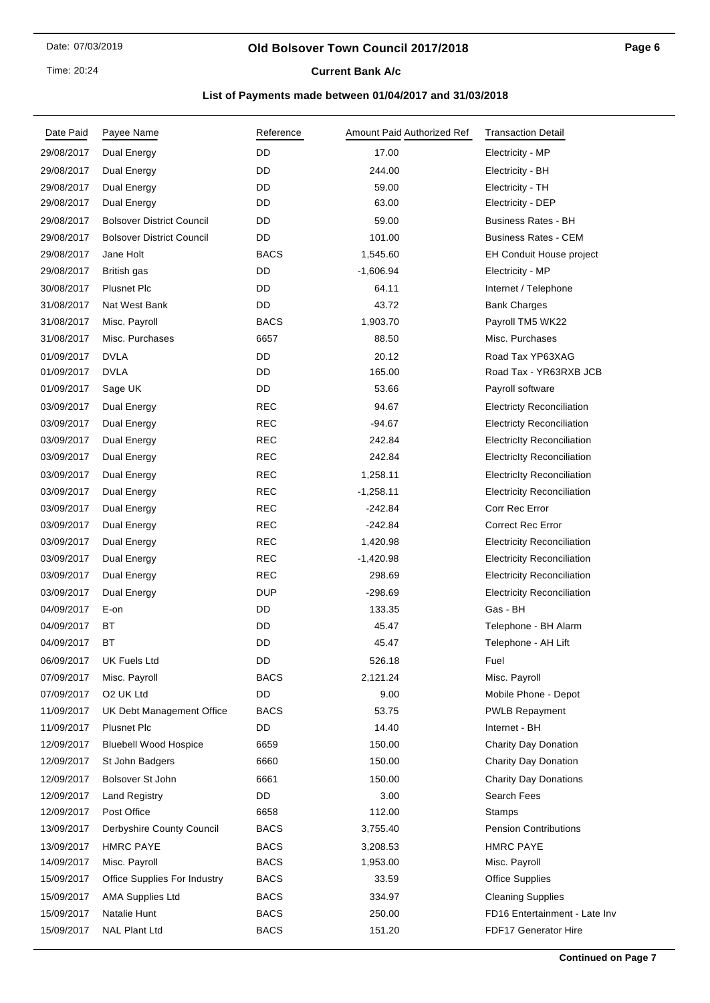### **Old Bolsover Town Council 2017/2018**

## **Current Bank A/c**

| Date Paid  | Payee Name                       | Reference   | Amount Paid Authorized Ref | <b>Transaction Detail</b>         |
|------------|----------------------------------|-------------|----------------------------|-----------------------------------|
| 29/08/2017 | Dual Energy                      | DD          | 17.00                      | Electricity - MP                  |
| 29/08/2017 | Dual Energy                      | DD          | 244.00                     | Electricity - BH                  |
| 29/08/2017 | Dual Energy                      | DD          | 59.00                      | Electricity - TH                  |
| 29/08/2017 | Dual Energy                      | DD          | 63.00                      | Electricity - DEP                 |
| 29/08/2017 | <b>Bolsover District Council</b> | DD          | 59.00                      | <b>Business Rates - BH</b>        |
| 29/08/2017 | <b>Bolsover District Council</b> | DD          | 101.00                     | <b>Business Rates - CEM</b>       |
| 29/08/2017 | Jane Holt                        | <b>BACS</b> | 1,545.60                   | EH Conduit House project          |
| 29/08/2017 | British gas                      | DD          | $-1,606.94$                | Electricity - MP                  |
| 30/08/2017 | <b>Plusnet Plc</b>               | DD          | 64.11                      | Internet / Telephone              |
| 31/08/2017 | Nat West Bank                    | DD          | 43.72                      | <b>Bank Charges</b>               |
| 31/08/2017 | Misc. Payroll                    | <b>BACS</b> | 1,903.70                   | Payroll TM5 WK22                  |
| 31/08/2017 | Misc. Purchases                  | 6657        | 88.50                      | Misc. Purchases                   |
| 01/09/2017 | <b>DVLA</b>                      | DD          | 20.12                      | Road Tax YP63XAG                  |
| 01/09/2017 | <b>DVLA</b>                      | DD          | 165.00                     | Road Tax - YR63RXB JCB            |
| 01/09/2017 | Sage UK                          | DD          | 53.66                      | Payroll software                  |
| 03/09/2017 | Dual Energy                      | <b>REC</b>  | 94.67                      | <b>Electricty Reconciliation</b>  |
| 03/09/2017 | Dual Energy                      | <b>REC</b>  | $-94.67$                   | <b>Electricty Reconciliation</b>  |
| 03/09/2017 | Dual Energy                      | <b>REC</b>  | 242.84                     | <b>Electricity Reconciliation</b> |
| 03/09/2017 | Dual Energy                      | <b>REC</b>  | 242.84                     | <b>Electricity Reconciliation</b> |
| 03/09/2017 | Dual Energy                      | <b>REC</b>  | 1,258.11                   | <b>Electricity Reconciliation</b> |
| 03/09/2017 | Dual Energy                      | <b>REC</b>  | $-1,258.11$                | <b>Electricity Reconciliation</b> |
| 03/09/2017 | Dual Energy                      | <b>REC</b>  | $-242.84$                  | Corr Rec Error                    |
| 03/09/2017 | Dual Energy                      | <b>REC</b>  | $-242.84$                  | <b>Correct Rec Error</b>          |
| 03/09/2017 | Dual Energy                      | <b>REC</b>  | 1,420.98                   | <b>Electricity Reconciliation</b> |
| 03/09/2017 | Dual Energy                      | <b>REC</b>  | $-1,420.98$                | <b>Electricity Reconciliation</b> |
| 03/09/2017 | Dual Energy                      | <b>REC</b>  | 298.69                     | <b>Electricity Reconciliation</b> |
| 03/09/2017 | <b>Dual Energy</b>               | <b>DUP</b>  | $-298.69$                  | <b>Electricity Reconciliation</b> |
| 04/09/2017 | E-on                             | DD          | 133.35                     | Gas - BH                          |
| 04/09/2017 | BT                               | DD          | 45.47                      | Telephone - BH Alarm              |
| 04/09/2017 | ВT                               | DD          | 45.47                      | Telephone - AH Lift               |
| 06/09/2017 | UK Fuels Ltd                     | DD          | 526.18                     | Fuel                              |
| 07/09/2017 | Misc. Payroll                    | <b>BACS</b> | 2,121.24                   | Misc. Payroll                     |
| 07/09/2017 | O <sub>2</sub> UK Ltd            | DD          | 9.00                       | Mobile Phone - Depot              |
| 11/09/2017 | UK Debt Management Office        | <b>BACS</b> | 53.75                      | <b>PWLB Repayment</b>             |
| 11/09/2017 | <b>Plusnet Plc</b>               | DD          | 14.40                      | Internet - BH                     |
| 12/09/2017 | <b>Bluebell Wood Hospice</b>     | 6659        | 150.00                     | Charity Day Donation              |
| 12/09/2017 | St John Badgers                  | 6660        | 150.00                     | Charity Day Donation              |
| 12/09/2017 | Bolsover St John                 | 6661        | 150.00                     | <b>Charity Day Donations</b>      |
| 12/09/2017 | <b>Land Registry</b>             | DD          | 3.00                       | Search Fees                       |
| 12/09/2017 | Post Office                      | 6658        | 112.00                     | <b>Stamps</b>                     |
| 13/09/2017 | Derbyshire County Council        | <b>BACS</b> | 3,755.40                   | <b>Pension Contributions</b>      |
| 13/09/2017 | <b>HMRC PAYE</b>                 | <b>BACS</b> | 3,208.53                   | <b>HMRC PAYE</b>                  |
| 14/09/2017 | Misc. Payroll                    | <b>BACS</b> | 1,953.00                   | Misc. Payroll                     |
| 15/09/2017 | Office Supplies For Industry     | <b>BACS</b> | 33.59                      | <b>Office Supplies</b>            |
| 15/09/2017 | <b>AMA Supplies Ltd</b>          | <b>BACS</b> | 334.97                     | <b>Cleaning Supplies</b>          |
| 15/09/2017 | Natalie Hunt                     | <b>BACS</b> | 250.00                     | FD16 Entertainment - Late Inv     |
| 15/09/2017 | <b>NAL Plant Ltd</b>             | <b>BACS</b> | 151.20                     | FDF17 Generator Hire              |
|            |                                  |             |                            |                                   |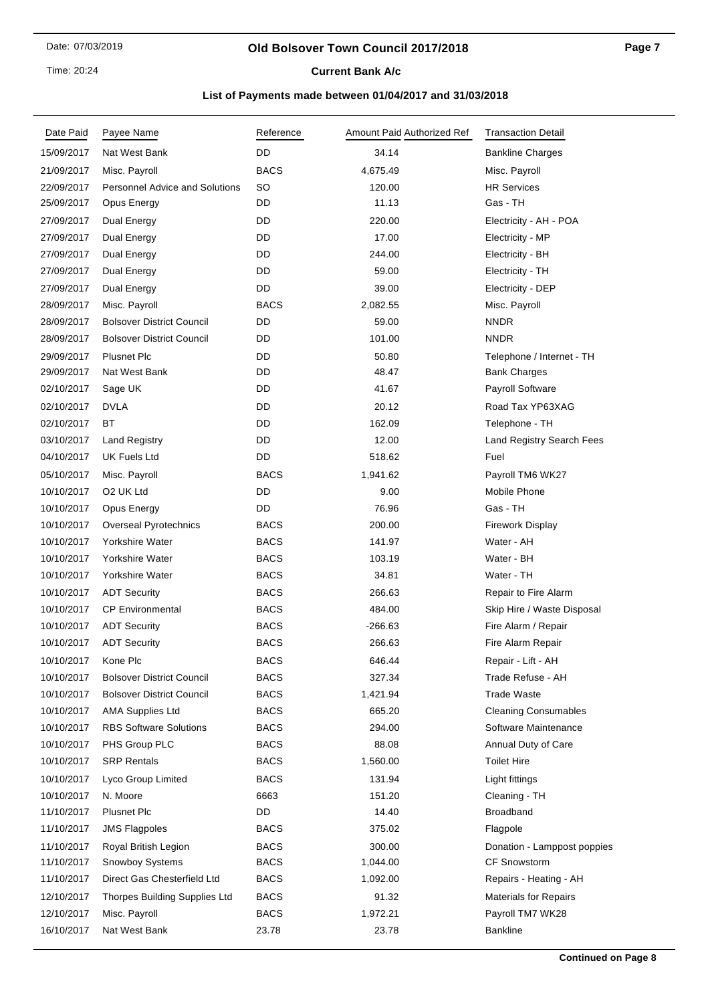### **Old Bolsover Town Council 2017/2018**

**Current Bank A/c** 

| Date Paid  | Payee Name                            | Reference   | Amount Paid Authorized Ref | <b>Transaction Detail</b>        |
|------------|---------------------------------------|-------------|----------------------------|----------------------------------|
| 15/09/2017 | Nat West Bank                         | DD          | 34.14                      | <b>Bankline Charges</b>          |
| 21/09/2017 | Misc. Payroll                         | <b>BACS</b> | 4,675.49                   | Misc. Payroll                    |
| 22/09/2017 | <b>Personnel Advice and Solutions</b> | <b>SO</b>   | 120.00                     | <b>HR Services</b>               |
| 25/09/2017 | Opus Energy                           | DD          | 11.13                      | Gas - TH                         |
| 27/09/2017 | Dual Energy                           | DD          | 220.00                     | Electricity - AH - POA           |
| 27/09/2017 | Dual Energy                           | DD          | 17.00                      | Electricity - MP                 |
| 27/09/2017 | Dual Energy                           | DD          | 244.00                     | Electricity - BH                 |
| 27/09/2017 | Dual Energy                           | DD          | 59.00                      | Electricity - TH                 |
| 27/09/2017 | Dual Energy                           | DD          | 39.00                      | Electricity - DEP                |
| 28/09/2017 | Misc. Payroll                         | <b>BACS</b> | 2,082.55                   | Misc. Payroll                    |
| 28/09/2017 | <b>Bolsover District Council</b>      | DD          | 59.00                      | <b>NNDR</b>                      |
| 28/09/2017 | <b>Bolsover District Council</b>      | DD          | 101.00                     | <b>NNDR</b>                      |
| 29/09/2017 | <b>Plusnet Plc</b>                    | DD          | 50.80                      | Telephone / Internet - TH        |
| 29/09/2017 | Nat West Bank                         | DD          | 48.47                      | <b>Bank Charges</b>              |
| 02/10/2017 | Sage UK                               | DD          | 41.67                      | Payroll Software                 |
| 02/10/2017 | <b>DVLA</b>                           | DD          | 20.12                      | Road Tax YP63XAG                 |
| 02/10/2017 | ВT                                    | DD          | 162.09                     | Telephone - TH                   |
| 03/10/2017 | <b>Land Registry</b>                  | DD          | 12.00                      | <b>Land Registry Search Fees</b> |
| 04/10/2017 | UK Fuels Ltd                          | DD          | 518.62                     | Fuel                             |
| 05/10/2017 | Misc. Payroll                         | <b>BACS</b> | 1,941.62                   | Payroll TM6 WK27                 |
| 10/10/2017 | O <sub>2</sub> UK Ltd                 | DD          | 9.00                       | Mobile Phone                     |
| 10/10/2017 | Opus Energy                           | DD          | 76.96                      | Gas - TH                         |
| 10/10/2017 | <b>Overseal Pyrotechnics</b>          | <b>BACS</b> | 200.00                     | <b>Firework Display</b>          |
| 10/10/2017 | Yorkshire Water                       | <b>BACS</b> | 141.97                     | Water - AH                       |
| 10/10/2017 | Yorkshire Water                       | <b>BACS</b> | 103.19                     | Water - BH                       |
| 10/10/2017 | Yorkshire Water                       | <b>BACS</b> | 34.81                      | Water - TH                       |
| 10/10/2017 | <b>ADT Security</b>                   | <b>BACS</b> | 266.63                     | Repair to Fire Alarm             |
| 10/10/2017 | <b>CP Environmental</b>               | <b>BACS</b> | 484.00                     | Skip Hire / Waste Disposal       |
| 10/10/2017 | <b>ADT Security</b>                   | <b>BACS</b> | $-266.63$                  | Fire Alarm / Repair              |
| 10/10/2017 | <b>ADT Security</b>                   | <b>BACS</b> | 266.63                     | Fire Alarm Repair                |
| 10/10/2017 | Kone Plc                              | <b>BACS</b> | 646.44                     | Repair - Lift - AH               |
| 10/10/2017 | <b>Bolsover District Council</b>      | <b>BACS</b> | 327.34                     | Trade Refuse - AH                |
| 10/10/2017 | <b>Bolsover District Council</b>      | <b>BACS</b> | 1,421.94                   | <b>Trade Waste</b>               |
| 10/10/2017 | <b>AMA Supplies Ltd</b>               | <b>BACS</b> | 665.20                     | <b>Cleaning Consumables</b>      |
| 10/10/2017 | <b>RBS Software Solutions</b>         | <b>BACS</b> | 294.00                     | Software Maintenance             |
| 10/10/2017 | PHS Group PLC                         | <b>BACS</b> | 88.08                      | Annual Duty of Care              |
| 10/10/2017 | <b>SRP Rentals</b>                    | <b>BACS</b> | 1,560.00                   | <b>Toilet Hire</b>               |
| 10/10/2017 | Lyco Group Limited                    | <b>BACS</b> | 131.94                     | Light fittings                   |
| 10/10/2017 | N. Moore                              | 6663        | 151.20                     | Cleaning - TH                    |
| 11/10/2017 | <b>Plusnet Plc</b>                    | DD          | 14.40                      | <b>Broadband</b>                 |
| 11/10/2017 | <b>JMS Flagpoles</b>                  | <b>BACS</b> | 375.02                     | Flagpole                         |
| 11/10/2017 | Royal British Legion                  | <b>BACS</b> | 300.00                     | Donation - Lamppost poppies      |
| 11/10/2017 | Snowboy Systems                       | BACS        | 1,044.00                   | <b>CF Snowstorm</b>              |
| 11/10/2017 | Direct Gas Chesterfield Ltd           | <b>BACS</b> | 1,092.00                   | Repairs - Heating - AH           |
| 12/10/2017 | Thorpes Building Supplies Ltd         | <b>BACS</b> | 91.32                      | <b>Materials for Repairs</b>     |
| 12/10/2017 | Misc. Payroll                         | <b>BACS</b> | 1,972.21                   | Payroll TM7 WK28                 |
| 16/10/2017 | Nat West Bank                         | 23.78       | 23.78                      | <b>Bankline</b>                  |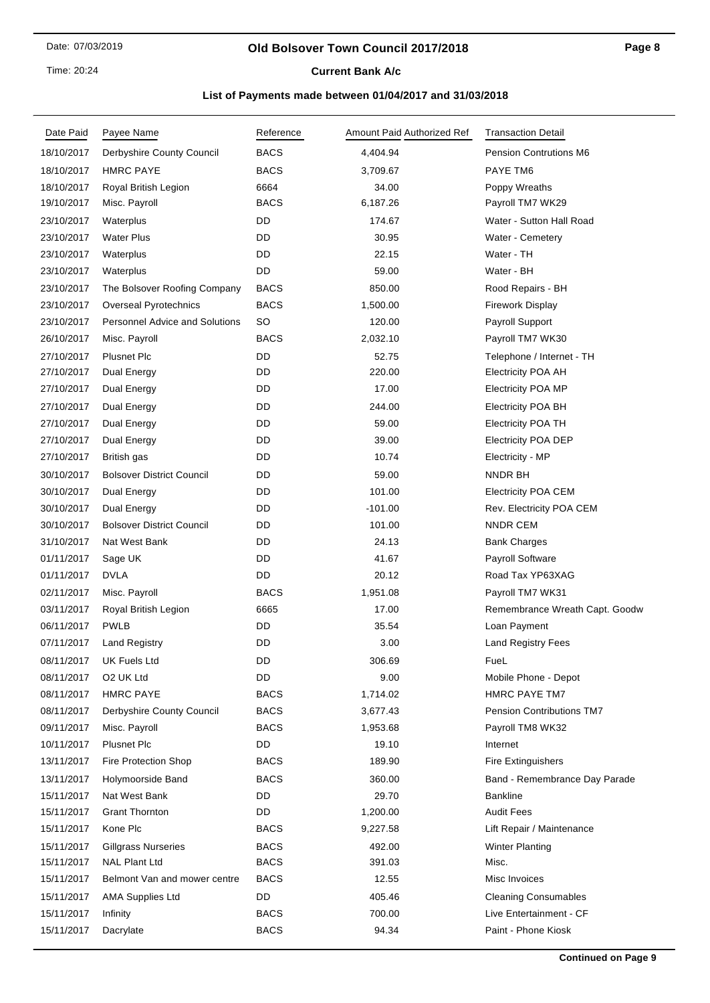Time: 20:24

## **Current Bank A/c**

| Date Paid  | Payee Name                            | Reference   | Amount Paid Authorized Ref | <b>Transaction Detail</b>        |
|------------|---------------------------------------|-------------|----------------------------|----------------------------------|
| 18/10/2017 | Derbyshire County Council             | <b>BACS</b> | 4,404.94                   | Pension Contrutions M6           |
| 18/10/2017 | <b>HMRC PAYE</b>                      | <b>BACS</b> | 3,709.67                   | PAYE TM6                         |
| 18/10/2017 | Royal British Legion                  | 6664        | 34.00                      | Poppy Wreaths                    |
| 19/10/2017 | Misc. Payroll                         | <b>BACS</b> | 6,187.26                   | Payroll TM7 WK29                 |
| 23/10/2017 | Waterplus                             | DD          | 174.67                     | Water - Sutton Hall Road         |
| 23/10/2017 | <b>Water Plus</b>                     | DD          | 30.95                      | Water - Cemetery                 |
| 23/10/2017 | Waterplus                             | DD          | 22.15                      | Water - TH                       |
| 23/10/2017 | Waterplus                             | DD          | 59.00                      | Water - BH                       |
| 23/10/2017 | The Bolsover Roofing Company          | <b>BACS</b> | 850.00                     | Rood Repairs - BH                |
| 23/10/2017 | <b>Overseal Pyrotechnics</b>          | <b>BACS</b> | 1,500.00                   | <b>Firework Display</b>          |
| 23/10/2017 | <b>Personnel Advice and Solutions</b> | SO          | 120.00                     | Payroll Support                  |
| 26/10/2017 | Misc. Payroll                         | <b>BACS</b> | 2,032.10                   | Payroll TM7 WK30                 |
| 27/10/2017 | <b>Plusnet Plc</b>                    | DD          | 52.75                      | Telephone / Internet - TH        |
| 27/10/2017 | Dual Energy                           | DD          | 220.00                     | <b>Electricity POA AH</b>        |
| 27/10/2017 | Dual Energy                           | DD          | 17.00                      | <b>Electricity POA MP</b>        |
| 27/10/2017 | Dual Energy                           | DD          | 244.00                     | <b>Electricity POA BH</b>        |
| 27/10/2017 | Dual Energy                           | DD          | 59.00                      | Electricity POA TH               |
| 27/10/2017 | Dual Energy                           | DD          | 39.00                      | <b>Electricity POA DEP</b>       |
| 27/10/2017 | British gas                           | DD          | 10.74                      | Electricity - MP                 |
| 30/10/2017 | <b>Bolsover District Council</b>      | DD          | 59.00                      | NNDR BH                          |
| 30/10/2017 | Dual Energy                           | DD          | 101.00                     | <b>Electricity POA CEM</b>       |
| 30/10/2017 | Dual Energy                           | DD          | $-101.00$                  | Rev. Electricity POA CEM         |
| 30/10/2017 | <b>Bolsover District Council</b>      | DD          | 101.00                     | <b>NNDR CEM</b>                  |
| 31/10/2017 | Nat West Bank                         | DD          | 24.13                      | <b>Bank Charges</b>              |
| 01/11/2017 | Sage UK                               | DD          | 41.67                      | Payroll Software                 |
| 01/11/2017 | <b>DVLA</b>                           | DD          | 20.12                      | Road Tax YP63XAG                 |
| 02/11/2017 | Misc. Payroll                         | <b>BACS</b> | 1,951.08                   | Payroll TM7 WK31                 |
| 03/11/2017 | Royal British Legion                  | 6665        | 17.00                      | Remembrance Wreath Capt. Goodw   |
| 06/11/2017 | <b>PWLB</b>                           | DD          | 35.54                      | Loan Payment                     |
| 07/11/2017 | <b>Land Registry</b>                  | DD          | 3.00                       | <b>Land Registry Fees</b>        |
| 08/11/2017 | UK Fuels Ltd                          | DD          | 306.69                     | FueL                             |
| 08/11/2017 | O <sub>2</sub> UK Ltd                 | DD          | 9.00                       | Mobile Phone - Depot             |
| 08/11/2017 | <b>HMRC PAYE</b>                      | <b>BACS</b> | 1,714.02                   | <b>HMRC PAYE TM7</b>             |
| 08/11/2017 | Derbyshire County Council             | <b>BACS</b> | 3,677.43                   | <b>Pension Contributions TM7</b> |
| 09/11/2017 | Misc. Payroll                         | <b>BACS</b> | 1,953.68                   | Payroll TM8 WK32                 |
| 10/11/2017 | <b>Plusnet Plc</b>                    | DD          | 19.10                      | Internet                         |
| 13/11/2017 | <b>Fire Protection Shop</b>           | <b>BACS</b> | 189.90                     | <b>Fire Extinguishers</b>        |
| 13/11/2017 | Holymoorside Band                     | <b>BACS</b> | 360.00                     | Band - Remembrance Day Parade    |
| 15/11/2017 | Nat West Bank                         | DD          | 29.70                      | <b>Bankline</b>                  |
| 15/11/2017 | <b>Grant Thornton</b>                 | DD          | 1,200.00                   | <b>Audit Fees</b>                |
| 15/11/2017 | Kone Plc                              | BACS        | 9,227.58                   | Lift Repair / Maintenance        |
| 15/11/2017 | <b>Gillgrass Nurseries</b>            | <b>BACS</b> | 492.00                     | <b>Winter Planting</b>           |
| 15/11/2017 | <b>NAL Plant Ltd</b>                  | <b>BACS</b> | 391.03                     | Misc.                            |
| 15/11/2017 | Belmont Van and mower centre          | <b>BACS</b> | 12.55                      | Misc Invoices                    |
| 15/11/2017 | <b>AMA Supplies Ltd</b>               | DD          | 405.46                     | <b>Cleaning Consumables</b>      |
| 15/11/2017 | Infinity                              | <b>BACS</b> | 700.00                     | Live Entertainment - CF          |
| 15/11/2017 | Dacrylate                             | <b>BACS</b> | 94.34                      | Paint - Phone Kiosk              |
|            |                                       |             |                            |                                  |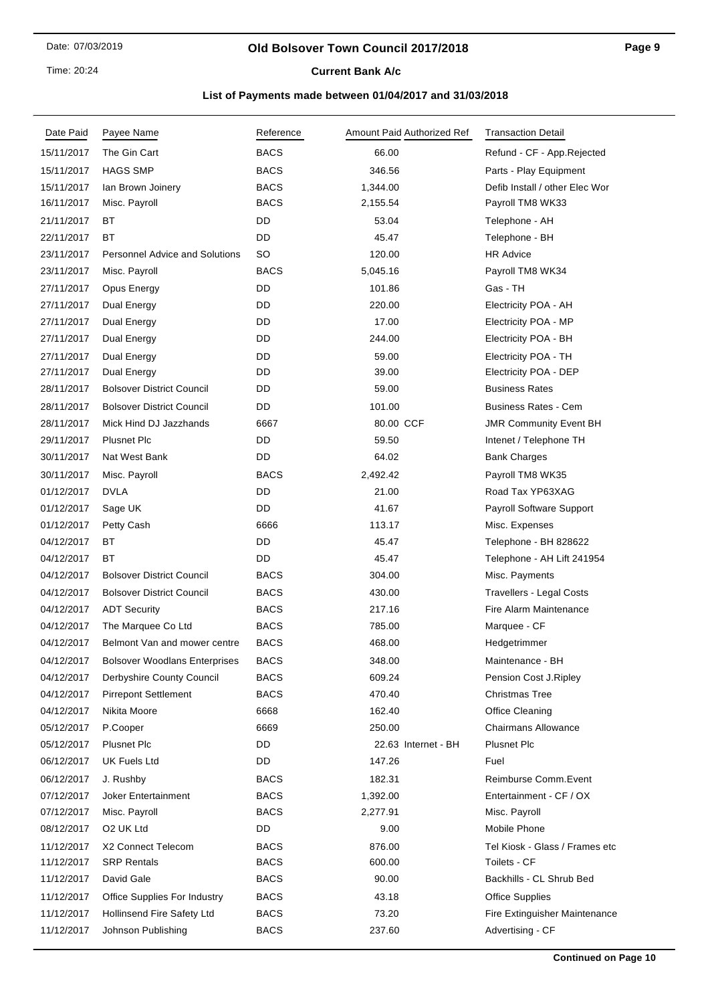Time: 20:24

# **Current Bank A/c**

| Date Paid  | Payee Name                            | Reference   | Amount Paid Authorized Ref | <b>Transaction Detail</b>       |
|------------|---------------------------------------|-------------|----------------------------|---------------------------------|
| 15/11/2017 | The Gin Cart                          | <b>BACS</b> | 66.00                      | Refund - CF - App.Rejected      |
| 15/11/2017 | <b>HAGS SMP</b>                       | <b>BACS</b> | 346.56                     | Parts - Play Equipment          |
| 15/11/2017 | Ian Brown Joinery                     | <b>BACS</b> | 1,344.00                   | Defib Install / other Elec Wor  |
| 16/11/2017 | Misc. Payroll                         | <b>BACS</b> | 2,155.54                   | Payroll TM8 WK33                |
| 21/11/2017 | BT                                    | DD          | 53.04                      | Telephone - AH                  |
| 22/11/2017 | ВT                                    | DD          | 45.47                      | Telephone - BH                  |
| 23/11/2017 | <b>Personnel Advice and Solutions</b> | SO          | 120.00                     | <b>HR Advice</b>                |
| 23/11/2017 | Misc. Payroll                         | <b>BACS</b> | 5,045.16                   | Payroll TM8 WK34                |
| 27/11/2017 | Opus Energy                           | DD          | 101.86                     | Gas - TH                        |
| 27/11/2017 | Dual Energy                           | DD          | 220.00                     | Electricity POA - AH            |
| 27/11/2017 | Dual Energy                           | DD          | 17.00                      | Electricity POA - MP            |
| 27/11/2017 | Dual Energy                           | DD          | 244.00                     | Electricity POA - BH            |
| 27/11/2017 | Dual Energy                           | DD          | 59.00                      | Electricity POA - TH            |
| 27/11/2017 | Dual Energy                           | DD          | 39.00                      | Electricity POA - DEP           |
| 28/11/2017 | <b>Bolsover District Council</b>      | DD          | 59.00                      | <b>Business Rates</b>           |
| 28/11/2017 | <b>Bolsover District Council</b>      | DD          | 101.00                     | <b>Business Rates - Cem</b>     |
| 28/11/2017 | Mick Hind DJ Jazzhands                | 6667        | 80.00 CCF                  | <b>JMR Community Event BH</b>   |
| 29/11/2017 | <b>Plusnet Plc</b>                    | DD          | 59.50                      | Intenet / Telephone TH          |
| 30/11/2017 | Nat West Bank                         | DD          | 64.02                      | <b>Bank Charges</b>             |
| 30/11/2017 | Misc. Payroll                         | <b>BACS</b> | 2,492.42                   | Payroll TM8 WK35                |
| 01/12/2017 | <b>DVLA</b>                           | DD          | 21.00                      | Road Tax YP63XAG                |
| 01/12/2017 | Sage UK                               | DD          | 41.67                      | Payroll Software Support        |
| 01/12/2017 | Petty Cash                            | 6666        | 113.17                     | Misc. Expenses                  |
| 04/12/2017 | ВT                                    | DD          | 45.47                      | Telephone - BH 828622           |
| 04/12/2017 | BT                                    | DD          | 45.47                      | Telephone - AH Lift 241954      |
| 04/12/2017 | <b>Bolsover District Council</b>      | <b>BACS</b> | 304.00                     | Misc. Payments                  |
| 04/12/2017 | <b>Bolsover District Council</b>      | <b>BACS</b> | 430.00                     | <b>Travellers - Legal Costs</b> |
| 04/12/2017 | <b>ADT Security</b>                   | <b>BACS</b> | 217.16                     | Fire Alarm Maintenance          |
| 04/12/2017 | The Marquee Co Ltd                    | <b>BACS</b> | 785.00                     | Marquee - CF                    |
| 04/12/2017 | Belmont Van and mower centre          | <b>BACS</b> | 468.00                     | Hedgetrimmer                    |
| 04/12/2017 | <b>Bolsover Woodlans Enterprises</b>  | <b>BACS</b> | 348.00                     | Maintenance - BH                |
| 04/12/2017 | Derbyshire County Council             | <b>BACS</b> | 609.24                     | Pension Cost J.Ripley           |
| 04/12/2017 | <b>Pirrepont Settlement</b>           | <b>BACS</b> | 470.40                     | <b>Christmas Tree</b>           |
| 04/12/2017 | Nikita Moore                          | 6668        | 162.40                     | Office Cleaning                 |
| 05/12/2017 | P.Cooper                              | 6669        | 250.00                     | <b>Chairmans Allowance</b>      |
| 05/12/2017 | <b>Plusnet Plc</b>                    | DD          | 22.63 Internet - BH        | Plusnet Plc                     |
| 06/12/2017 | UK Fuels Ltd                          | DD          | 147.26                     | Fuel                            |
| 06/12/2017 | J. Rushby                             | <b>BACS</b> | 182.31                     | Reimburse Comm.Event            |
| 07/12/2017 | <b>Joker Entertainment</b>            | <b>BACS</b> | 1,392.00                   | Entertainment - CF / OX         |
| 07/12/2017 | Misc. Payroll                         | <b>BACS</b> | 2,277.91                   | Misc. Payroll                   |
| 08/12/2017 | O2 UK Ltd                             | DD          | 9.00                       | Mobile Phone                    |
| 11/12/2017 | X2 Connect Telecom                    | <b>BACS</b> | 876.00                     | Tel Kiosk - Glass / Frames etc  |
| 11/12/2017 | <b>SRP Rentals</b>                    | <b>BACS</b> | 600.00                     | Toilets - CF                    |
| 11/12/2017 | David Gale                            | <b>BACS</b> | 90.00                      | Backhills - CL Shrub Bed        |
| 11/12/2017 | Office Supplies For Industry          | <b>BACS</b> | 43.18                      | <b>Office Supplies</b>          |
| 11/12/2017 | <b>Hollinsend Fire Safety Ltd</b>     | <b>BACS</b> | 73.20                      | Fire Extinguisher Maintenance   |
| 11/12/2017 | Johnson Publishing                    | <b>BACS</b> | 237.60                     | Advertising - CF                |
|            |                                       |             |                            |                                 |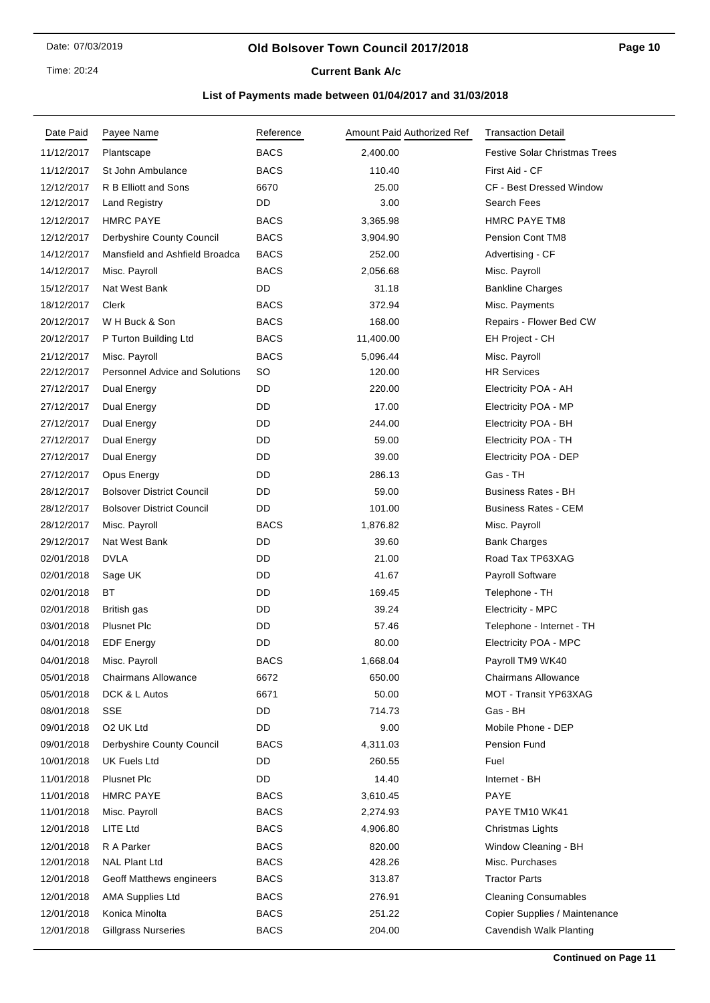Time: 20:24

# **Current Bank A/c**

| Date Paid  | Payee Name                            | Reference   | Amount Paid Authorized Ref | <b>Transaction Detail</b>            |
|------------|---------------------------------------|-------------|----------------------------|--------------------------------------|
| 11/12/2017 | Plantscape                            | <b>BACS</b> | 2,400.00                   | <b>Festive Solar Christmas Trees</b> |
| 11/12/2017 | St John Ambulance                     | <b>BACS</b> | 110.40                     | First Aid - CF                       |
| 12/12/2017 | R B Elliott and Sons                  | 6670        | 25.00                      | <b>CF - Best Dressed Window</b>      |
| 12/12/2017 | <b>Land Registry</b>                  | DD          | 3.00                       | Search Fees                          |
| 12/12/2017 | <b>HMRC PAYE</b>                      | <b>BACS</b> | 3,365.98                   | <b>HMRC PAYE TM8</b>                 |
| 12/12/2017 | Derbyshire County Council             | <b>BACS</b> | 3,904.90                   | Pension Cont TM8                     |
| 14/12/2017 | Mansfield and Ashfield Broadca        | <b>BACS</b> | 252.00                     | Advertising - CF                     |
| 14/12/2017 | Misc. Payroll                         | <b>BACS</b> | 2,056.68                   | Misc. Payroll                        |
| 15/12/2017 | Nat West Bank                         | DD          | 31.18                      | <b>Bankline Charges</b>              |
| 18/12/2017 | Clerk                                 | <b>BACS</b> | 372.94                     | Misc. Payments                       |
| 20/12/2017 | W H Buck & Son                        | <b>BACS</b> | 168.00                     | Repairs - Flower Bed CW              |
| 20/12/2017 | P Turton Building Ltd                 | <b>BACS</b> | 11,400.00                  | EH Project - CH                      |
| 21/12/2017 | Misc. Payroll                         | <b>BACS</b> | 5,096.44                   | Misc. Payroll                        |
| 22/12/2017 | <b>Personnel Advice and Solutions</b> | SO          | 120.00                     | <b>HR Services</b>                   |
| 27/12/2017 | Dual Energy                           | DD          | 220.00                     | Electricity POA - AH                 |
| 27/12/2017 | Dual Energy                           | DD          | 17.00                      | Electricity POA - MP                 |
| 27/12/2017 | Dual Energy                           | DD          | 244.00                     | Electricity POA - BH                 |
| 27/12/2017 | Dual Energy                           | DD          | 59.00                      | Electricity POA - TH                 |
| 27/12/2017 | Dual Energy                           | DD          | 39.00                      | Electricity POA - DEP                |
| 27/12/2017 | Opus Energy                           | DD          | 286.13                     | Gas - TH                             |
| 28/12/2017 | <b>Bolsover District Council</b>      | DD          | 59.00                      | <b>Business Rates - BH</b>           |
| 28/12/2017 | <b>Bolsover District Council</b>      | DD          | 101.00                     | <b>Business Rates - CEM</b>          |
| 28/12/2017 | Misc. Payroll                         | BACS        | 1,876.82                   | Misc. Payroll                        |
| 29/12/2017 | Nat West Bank                         | DD          | 39.60                      | <b>Bank Charges</b>                  |
| 02/01/2018 | <b>DVLA</b>                           | DD          | 21.00                      | Road Tax TP63XAG                     |
| 02/01/2018 | Sage UK                               | DD          | 41.67                      | Payroll Software                     |
| 02/01/2018 | <b>BT</b>                             | DD          | 169.45                     | Telephone - TH                       |
| 02/01/2018 | British gas                           | DD          | 39.24                      | Electricity - MPC                    |
| 03/01/2018 | Plusnet Plc                           | DD          | 57.46                      | Telephone - Internet - TH            |
| 04/01/2018 | <b>EDF Energy</b>                     | DD          | 80.00                      | Electricity POA - MPC                |
| 04/01/2018 | Misc. Payroll                         | <b>BACS</b> | 1,668.04                   | Payroll TM9 WK40                     |
| 05/01/2018 | <b>Chairmans Allowance</b>            | 6672        | 650.00                     | <b>Chairmans Allowance</b>           |
| 05/01/2018 | DCK & L Autos                         | 6671        | 50.00                      | MOT - Transit YP63XAG                |
| 08/01/2018 | SSE                                   | DD          | 714.73                     | Gas - BH                             |
| 09/01/2018 | O2 UK Ltd                             | DD          | 9.00                       | Mobile Phone - DEP                   |
| 09/01/2018 | Derbyshire County Council             | <b>BACS</b> | 4,311.03                   | Pension Fund                         |
| 10/01/2018 | <b>UK Fuels Ltd</b>                   | DD          | 260.55                     | Fuel                                 |
| 11/01/2018 | <b>Plusnet Plc</b>                    | DD          | 14.40                      | Internet - BH                        |
| 11/01/2018 | <b>HMRC PAYE</b>                      | <b>BACS</b> | 3,610.45                   | PAYE                                 |
| 11/01/2018 | Misc. Payroll                         | <b>BACS</b> | 2,274.93                   | PAYE TM10 WK41                       |
| 12/01/2018 | LITE Ltd                              | BACS        | 4,906.80                   | Christmas Lights                     |
| 12/01/2018 | R A Parker                            | <b>BACS</b> | 820.00                     | Window Cleaning - BH                 |
| 12/01/2018 | <b>NAL Plant Ltd</b>                  | <b>BACS</b> | 428.26                     | Misc. Purchases                      |
| 12/01/2018 | Geoff Matthews engineers              | BACS        | 313.87                     | <b>Tractor Parts</b>                 |
| 12/01/2018 | <b>AMA Supplies Ltd</b>               | <b>BACS</b> | 276.91                     | <b>Cleaning Consumables</b>          |
| 12/01/2018 | Konica Minolta                        | <b>BACS</b> | 251.22                     | Copier Supplies / Maintenance        |
| 12/01/2018 | <b>Gillgrass Nurseries</b>            | <b>BACS</b> | 204.00                     | Cavendish Walk Planting              |
|            |                                       |             |                            |                                      |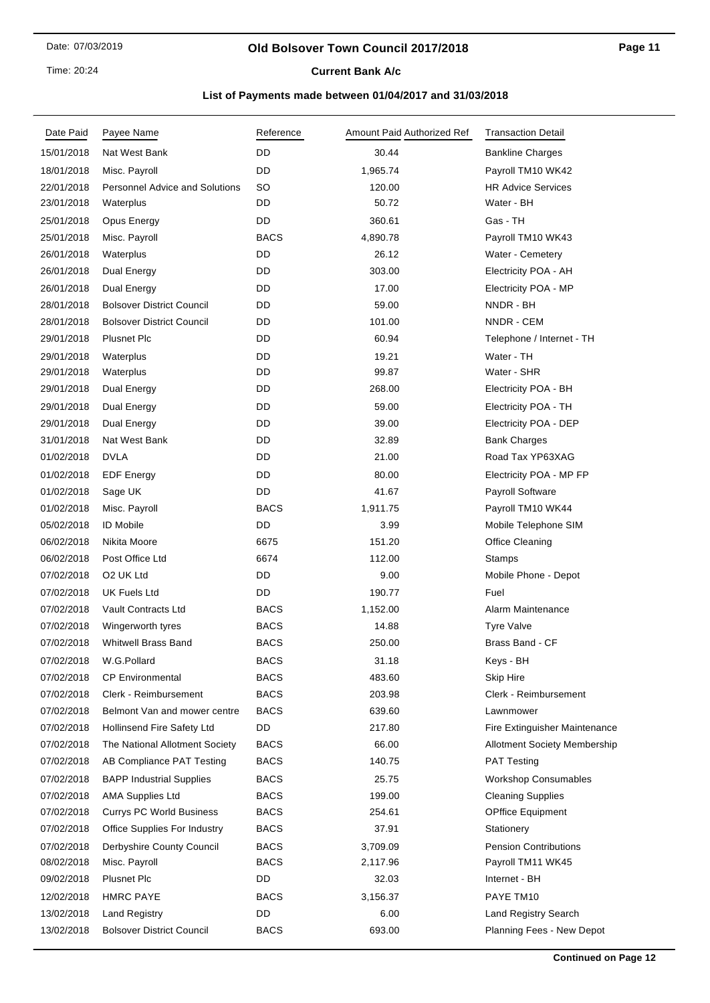### **Old Bolsover Town Council 2017/2018**

**Current Bank A/c** 

| Date Paid  | Payee Name                            | Reference   | Amount Paid Authorized Ref | <b>Transaction Detail</b>           |
|------------|---------------------------------------|-------------|----------------------------|-------------------------------------|
| 15/01/2018 | Nat West Bank                         | DD          | 30.44                      | <b>Bankline Charges</b>             |
| 18/01/2018 | Misc. Payroll                         | DD          | 1,965.74                   | Payroll TM10 WK42                   |
| 22/01/2018 | <b>Personnel Advice and Solutions</b> | <b>SO</b>   | 120.00                     | <b>HR Advice Services</b>           |
| 23/01/2018 | Waterplus                             | DD          | 50.72                      | Water - BH                          |
| 25/01/2018 | Opus Energy                           | DD          | 360.61                     | Gas - TH                            |
| 25/01/2018 | Misc. Payroll                         | <b>BACS</b> | 4,890.78                   | Payroll TM10 WK43                   |
| 26/01/2018 | Waterplus                             | DD          | 26.12                      | Water - Cemetery                    |
| 26/01/2018 | Dual Energy                           | DD          | 303.00                     | Electricity POA - AH                |
| 26/01/2018 | Dual Energy                           | DD          | 17.00                      | Electricity POA - MP                |
| 28/01/2018 | <b>Bolsover District Council</b>      | DD          | 59.00                      | NNDR - BH                           |
| 28/01/2018 | <b>Bolsover District Council</b>      | DD          | 101.00                     | NNDR - CEM                          |
| 29/01/2018 | <b>Plusnet Plc</b>                    | DD          | 60.94                      | Telephone / Internet - TH           |
| 29/01/2018 | Waterplus                             | DD          | 19.21                      | Water - TH                          |
| 29/01/2018 | Waterplus                             | DD          | 99.87                      | Water - SHR                         |
| 29/01/2018 | Dual Energy                           | DD          | 268.00                     | Electricity POA - BH                |
| 29/01/2018 | Dual Energy                           | DD          | 59.00                      | Electricity POA - TH                |
| 29/01/2018 | Dual Energy                           | DD          | 39.00                      | Electricity POA - DEP               |
| 31/01/2018 | Nat West Bank                         | DD          | 32.89                      | <b>Bank Charges</b>                 |
| 01/02/2018 | <b>DVLA</b>                           | DD          | 21.00                      | Road Tax YP63XAG                    |
| 01/02/2018 | <b>EDF Energy</b>                     | DD          | 80.00                      | Electricity POA - MP FP             |
| 01/02/2018 | Sage UK                               | DD          | 41.67                      | Payroll Software                    |
| 01/02/2018 | Misc. Payroll                         | <b>BACS</b> | 1,911.75                   | Payroll TM10 WK44                   |
| 05/02/2018 | <b>ID Mobile</b>                      | DD          | 3.99                       | Mobile Telephone SIM                |
| 06/02/2018 | Nikita Moore                          | 6675        | 151.20                     | Office Cleaning                     |
| 06/02/2018 | Post Office Ltd                       | 6674        | 112.00                     | <b>Stamps</b>                       |
| 07/02/2018 | O <sub>2</sub> UK Ltd                 | DD          | 9.00                       | Mobile Phone - Depot                |
| 07/02/2018 | <b>UK Fuels Ltd</b>                   | DD          | 190.77                     | Fuel                                |
| 07/02/2018 | Vault Contracts Ltd                   | <b>BACS</b> | 1,152.00                   | Alarm Maintenance                   |
| 07/02/2018 | Wingerworth tyres                     | <b>BACS</b> | 14.88                      | <b>Tyre Valve</b>                   |
| 07/02/2018 | <b>Whitwell Brass Band</b>            | <b>BACS</b> | 250.00                     | Brass Band - CF                     |
| 07/02/2018 | W.G.Pollard                           | <b>BACS</b> | 31.18                      | Keys - BH                           |
| 07/02/2018 | <b>CP Environmental</b>               | <b>BACS</b> | 483.60                     | <b>Skip Hire</b>                    |
| 07/02/2018 | Clerk - Reimbursement                 | <b>BACS</b> | 203.98                     | Clerk - Reimbursement               |
| 07/02/2018 | Belmont Van and mower centre          | <b>BACS</b> | 639.60                     | Lawnmower                           |
| 07/02/2018 | Hollinsend Fire Safety Ltd            | DD          | 217.80                     | Fire Extinguisher Maintenance       |
| 07/02/2018 | The National Allotment Society        | <b>BACS</b> | 66.00                      | <b>Allotment Society Membership</b> |
| 07/02/2018 | AB Compliance PAT Testing             | <b>BACS</b> | 140.75                     | <b>PAT Testing</b>                  |
| 07/02/2018 | <b>BAPP Industrial Supplies</b>       | <b>BACS</b> | 25.75                      | <b>Workshop Consumables</b>         |
| 07/02/2018 | <b>AMA Supplies Ltd</b>               | <b>BACS</b> | 199.00                     | <b>Cleaning Supplies</b>            |
| 07/02/2018 | <b>Currys PC World Business</b>       | <b>BACS</b> | 254.61                     | <b>OPffice Equipment</b>            |
| 07/02/2018 | <b>Office Supplies For Industry</b>   | BACS        | 37.91                      | Stationery                          |
| 07/02/2018 | Derbyshire County Council             | <b>BACS</b> | 3,709.09                   | <b>Pension Contributions</b>        |
| 08/02/2018 | Misc. Payroll                         | <b>BACS</b> | 2,117.96                   | Payroll TM11 WK45                   |
| 09/02/2018 | <b>Plusnet Plc</b>                    | DD          | 32.03                      | Internet - BH                       |
| 12/02/2018 | <b>HMRC PAYE</b>                      | <b>BACS</b> | 3,156.37                   | PAYE TM10                           |
| 13/02/2018 | <b>Land Registry</b>                  | DD          | 6.00                       | <b>Land Registry Search</b>         |
| 13/02/2018 | <b>Bolsover District Council</b>      | <b>BACS</b> | 693.00                     | Planning Fees - New Depot           |
|            |                                       |             |                            |                                     |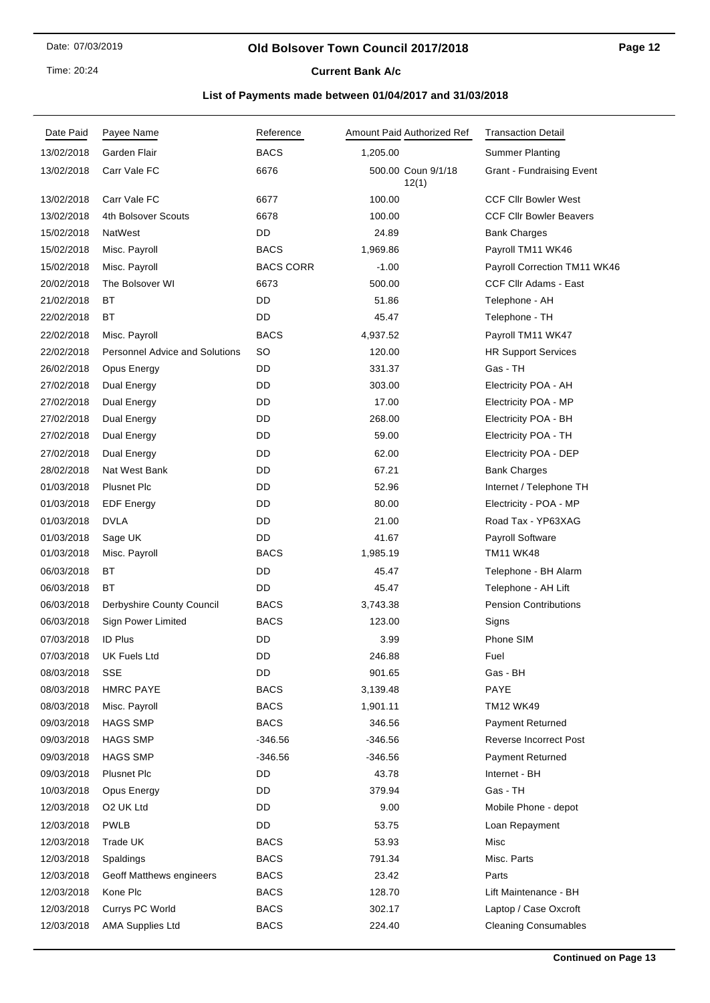Time: 20:24

# **Current Bank A/c**

| Date Paid  | Payee Name                            | Reference        |          | Amount Paid Authorized Ref  | <b>Transaction Detail</b>      |
|------------|---------------------------------------|------------------|----------|-----------------------------|--------------------------------|
| 13/02/2018 | Garden Flair                          | <b>BACS</b>      | 1,205.00 |                             | <b>Summer Planting</b>         |
| 13/02/2018 | Carr Vale FC                          | 6676             |          | 500.00 Coun 9/1/18<br>12(1) | Grant - Fundraising Event      |
| 13/02/2018 | Carr Vale FC                          | 6677             | 100.00   |                             | <b>CCF CIIr Bowler West</b>    |
| 13/02/2018 | 4th Bolsover Scouts                   | 6678             | 100.00   |                             | <b>CCF Cllr Bowler Beavers</b> |
| 15/02/2018 | NatWest                               | DD               | 24.89    |                             | <b>Bank Charges</b>            |
| 15/02/2018 | Misc. Payroll                         | <b>BACS</b>      | 1,969.86 |                             | Payroll TM11 WK46              |
| 15/02/2018 | Misc. Payroll                         | <b>BACS CORR</b> | $-1.00$  |                             | Payroll Correction TM11 WK46   |
| 20/02/2018 | The Bolsover WI                       | 6673             | 500.00   |                             | <b>CCF Cllr Adams - East</b>   |
| 21/02/2018 | ВT                                    | DD               | 51.86    |                             | Telephone - AH                 |
| 22/02/2018 | ВT                                    | DD               | 45.47    |                             | Telephone - TH                 |
| 22/02/2018 | Misc. Payroll                         | <b>BACS</b>      | 4,937.52 |                             | Payroll TM11 WK47              |
| 22/02/2018 | <b>Personnel Advice and Solutions</b> | SO               | 120.00   |                             | <b>HR Support Services</b>     |
| 26/02/2018 | Opus Energy                           | DD               | 331.37   |                             | Gas - TH                       |
| 27/02/2018 | Dual Energy                           | DD               | 303.00   |                             | Electricity POA - AH           |
| 27/02/2018 | Dual Energy                           | DD               | 17.00    |                             | Electricity POA - MP           |
| 27/02/2018 | Dual Energy                           | DD               | 268.00   |                             | Electricity POA - BH           |
| 27/02/2018 | Dual Energy                           | DD               | 59.00    |                             | Electricity POA - TH           |
| 27/02/2018 | Dual Energy                           | DD               | 62.00    |                             | Electricity POA - DEP          |
| 28/02/2018 | Nat West Bank                         | DD               | 67.21    |                             | <b>Bank Charges</b>            |
| 01/03/2018 | <b>Plusnet Plc</b>                    | DD               | 52.96    |                             | Internet / Telephone TH        |
| 01/03/2018 | <b>EDF</b> Energy                     | DD               | 80.00    |                             | Electricity - POA - MP         |
| 01/03/2018 | <b>DVLA</b>                           | DD               | 21.00    |                             | Road Tax - YP63XAG             |
| 01/03/2018 | Sage UK                               | DD               | 41.67    |                             | Payroll Software               |
| 01/03/2018 | Misc. Payroll                         | <b>BACS</b>      | 1,985.19 |                             | TM11 WK48                      |
| 06/03/2018 | ВT                                    | DD               | 45.47    |                             | Telephone - BH Alarm           |
| 06/03/2018 | ВT                                    | DD               | 45.47    |                             | Telephone - AH Lift            |
| 06/03/2018 | Derbyshire County Council             | <b>BACS</b>      | 3,743.38 |                             | <b>Pension Contributions</b>   |
| 06/03/2018 | Sign Power Limited                    | <b>BACS</b>      | 123.00   |                             | Signs                          |
| 07/03/2018 | <b>ID Plus</b>                        | DD               | 3.99     |                             | Phone SIM                      |
| 07/03/2018 | UK Fuels Ltd                          | DD               | 246.88   |                             | Fuel                           |
| 08/03/2018 | SSE                                   | DD               | 901.65   |                             | Gas - BH                       |
| 08/03/2018 | <b>HMRC PAYE</b>                      | <b>BACS</b>      | 3,139.48 |                             | PAYE                           |
| 08/03/2018 | Misc. Payroll                         | <b>BACS</b>      | 1,901.11 |                             | <b>TM12 WK49</b>               |
| 09/03/2018 | <b>HAGS SMP</b>                       | <b>BACS</b>      | 346.56   |                             | Payment Returned               |
| 09/03/2018 | <b>HAGS SMP</b>                       | $-346.56$        | -346.56  |                             | Reverse Incorrect Post         |
| 09/03/2018 | <b>HAGS SMP</b>                       | $-346.56$        | -346.56  |                             | Payment Returned               |
| 09/03/2018 | <b>Plusnet Plc</b>                    | DD               | 43.78    |                             | Internet - BH                  |
| 10/03/2018 | Opus Energy                           | DD               | 379.94   |                             | Gas - TH                       |
| 12/03/2018 | O <sub>2</sub> UK Ltd                 | DD               | 9.00     |                             | Mobile Phone - depot           |
| 12/03/2018 | <b>PWLB</b>                           | DD               | 53.75    |                             | Loan Repayment                 |
| 12/03/2018 | Trade UK                              | <b>BACS</b>      | 53.93    |                             | Misc                           |
| 12/03/2018 | Spaldings                             | <b>BACS</b>      | 791.34   |                             | Misc. Parts                    |
| 12/03/2018 | Geoff Matthews engineers              | <b>BACS</b>      | 23.42    |                             | Parts                          |
| 12/03/2018 | Kone Plc                              | <b>BACS</b>      | 128.70   |                             | Lift Maintenance - BH          |
| 12/03/2018 | Currys PC World                       | <b>BACS</b>      | 302.17   |                             | Laptop / Case Oxcroft          |
| 12/03/2018 | <b>AMA Supplies Ltd</b>               | <b>BACS</b>      | 224.40   |                             | <b>Cleaning Consumables</b>    |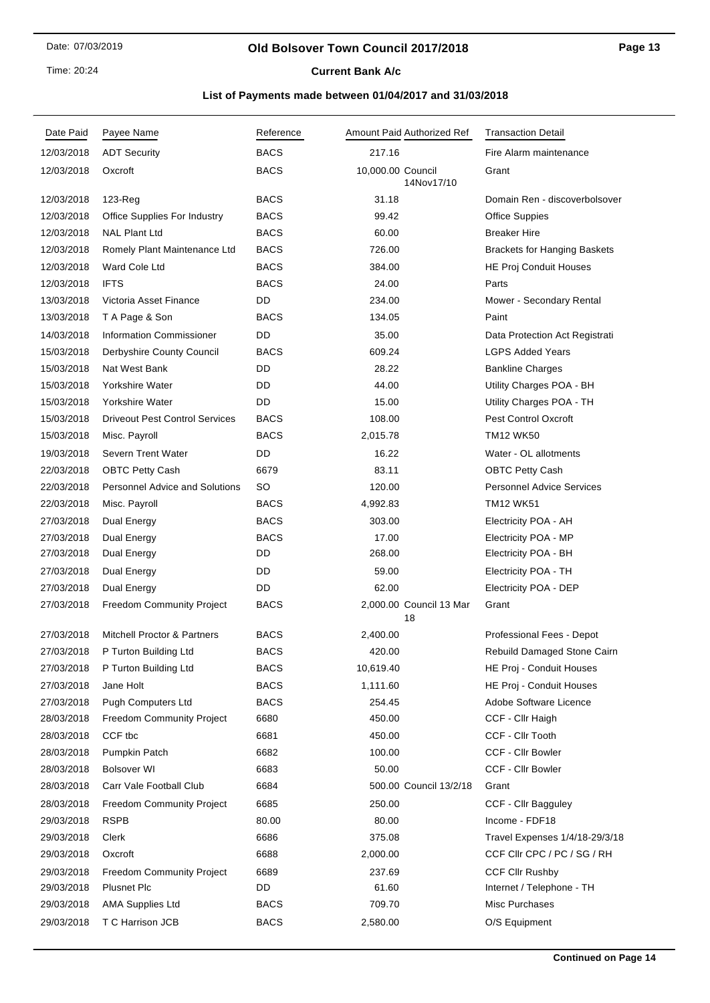### **Old Bolsover Town Council 2017/2018**

**Current Bank A/c** 

| <b>ADT Security</b><br><b>BACS</b><br>217.16<br>Fire Alarm maintenance<br>12/03/2018<br><b>BACS</b><br>10,000.00 Council<br>12/03/2018<br>Oxcroft<br>Grant<br>14Nov17/10<br><b>BACS</b><br>31.18<br>Domain Ren - discoverbolsover<br>12/03/2018<br>$123$ -Reg<br><b>BACS</b><br>12/03/2018<br>Office Supplies For Industry<br>99.42<br><b>Office Suppies</b><br><b>NAL Plant Ltd</b><br><b>BACS</b><br>12/03/2018<br>60.00<br><b>Breaker Hire</b><br>12/03/2018<br>Romely Plant Maintenance Ltd<br><b>BACS</b><br>726.00<br><b>Brackets for Hanging Baskets</b><br>12/03/2018<br>Ward Cole Ltd<br><b>BACS</b><br>384.00<br>HE Proj Conduit Houses<br>12/03/2018<br><b>IFTS</b><br><b>BACS</b><br>24.00<br>Parts<br>Victoria Asset Finance<br>DD<br>13/03/2018<br>234.00<br>Mower - Secondary Rental<br>13/03/2018<br>T A Page & Son<br><b>BACS</b><br>134.05<br>Paint<br>14/03/2018<br><b>Information Commissioner</b><br>DD<br>35.00<br>Data Protection Act Registrati<br>15/03/2018<br>Derbyshire County Council<br><b>BACS</b><br>609.24<br><b>LGPS Added Years</b><br>DD<br>28.22<br>15/03/2018<br>Nat West Bank<br><b>Bankline Charges</b><br>15/03/2018<br>Yorkshire Water<br>DD<br>44.00<br>Utility Charges POA - BH<br>DD<br>Yorkshire Water<br>15.00<br>Utility Charges POA - TH<br>15/03/2018<br><b>Driveout Pest Control Services</b><br><b>BACS</b><br><b>Pest Control Oxcroft</b><br>15/03/2018<br>108.00<br>15/03/2018<br>Misc. Payroll<br><b>BACS</b><br>2,015.78<br><b>TM12 WK50</b><br>19/03/2018<br>Severn Trent Water<br>DD<br>16.22<br>Water - OL allotments<br>83.11<br>22/03/2018<br><b>OBTC Petty Cash</b><br>6679<br><b>OBTC Petty Cash</b><br>SO<br><b>Personnel Advice and Solutions</b><br>120.00<br><b>Personnel Advice Services</b><br>22/03/2018<br><b>BACS</b><br><b>TM12 WK51</b><br>22/03/2018<br>Misc. Payroll<br>4,992.83<br>27/03/2018<br>Dual Energy<br><b>BACS</b><br>303.00<br>Electricity POA - AH<br>27/03/2018<br><b>Dual Energy</b><br><b>BACS</b><br>17.00<br>Electricity POA - MP<br>DD<br>268.00<br>27/03/2018<br>Dual Energy<br>Electricity POA - BH<br>DD<br>59.00<br>Electricity POA - TH<br>27/03/2018<br>Dual Energy<br>DD<br>27/03/2018<br>62.00<br>Electricity POA - DEP<br>Dual Energy<br><b>BACS</b><br>2,000.00 Council 13 Mar<br>Grant<br>27/03/2018<br><b>Freedom Community Project</b><br>18<br><b>Mitchell Proctor &amp; Partners</b><br>27/03/2018<br><b>BACS</b><br>Professional Fees - Depot<br>2,400.00<br><b>BACS</b><br>27/03/2018<br>P Turton Building Ltd<br>420.00<br>Rebuild Damaged Stone Cairn<br>27/03/2018<br>P Turton Building Ltd<br>BACS<br>10,619.40<br>HE Proj - Conduit Houses<br>Jane Holt<br><b>BACS</b><br>1,111.60<br>HE Proj - Conduit Houses<br>27/03/2018<br>27/03/2018<br>Pugh Computers Ltd<br><b>BACS</b><br>254.45<br>Adobe Software Licence<br>28/03/2018<br><b>Freedom Community Project</b><br>6680<br>450.00<br>CCF - Cllr Haigh<br>28/03/2018<br>CCF tbc<br>6681<br>450.00<br>CCF - Cllr Tooth<br>CCF - Cllr Bowler<br>Pumpkin Patch<br>6682<br>100.00<br>28/03/2018<br>28/03/2018<br><b>Bolsover WI</b><br>6683<br>50.00<br><b>CCF - Cllr Bowler</b><br>Carr Vale Football Club<br>6684<br>28/03/2018<br>500.00 Council 13/2/18<br>Grant<br>28/03/2018<br>6685<br>250.00<br><b>Freedom Community Project</b><br>CCF - Cllr Bagguley<br><b>RSPB</b><br>80.00<br>80.00<br>Income - FDF18<br>29/03/2018<br>29/03/2018<br>Clerk<br>6686<br>375.08<br>Travel Expenses 1/4/18-29/3/18<br>6688<br>2,000.00<br>CCF CIIr CPC / PC / SG / RH<br>29/03/2018<br>Oxcroft<br>29/03/2018<br>Freedom Community Project<br>6689<br>237.69<br><b>CCF Cllr Rushby</b><br><b>Plusnet Plc</b><br>DD<br>Internet / Telephone - TH<br>29/03/2018<br>61.60<br><b>BACS</b><br>Misc Purchases<br>29/03/2018<br><b>AMA Supplies Ltd</b><br>709.70<br>29/03/2018<br>T C Harrison JCB<br><b>BACS</b><br>O/S Equipment<br>2,580.00 | Date Paid | Payee Name | Reference | Amount Paid Authorized Ref | <b>Transaction Detail</b> |
|-------------------------------------------------------------------------------------------------------------------------------------------------------------------------------------------------------------------------------------------------------------------------------------------------------------------------------------------------------------------------------------------------------------------------------------------------------------------------------------------------------------------------------------------------------------------------------------------------------------------------------------------------------------------------------------------------------------------------------------------------------------------------------------------------------------------------------------------------------------------------------------------------------------------------------------------------------------------------------------------------------------------------------------------------------------------------------------------------------------------------------------------------------------------------------------------------------------------------------------------------------------------------------------------------------------------------------------------------------------------------------------------------------------------------------------------------------------------------------------------------------------------------------------------------------------------------------------------------------------------------------------------------------------------------------------------------------------------------------------------------------------------------------------------------------------------------------------------------------------------------------------------------------------------------------------------------------------------------------------------------------------------------------------------------------------------------------------------------------------------------------------------------------------------------------------------------------------------------------------------------------------------------------------------------------------------------------------------------------------------------------------------------------------------------------------------------------------------------------------------------------------------------------------------------------------------------------------------------------------------------------------------------------------------------------------------------------------------------------------------------------------------------------------------------------------------------------------------------------------------------------------------------------------------------------------------------------------------------------------------------------------------------------------------------------------------------------------------------------------------------------------------------------------------------------------------------------------------------------------------------------------------------------------------------------------------------------------------------------------------------------------------------------------------------------------------------------------------------------------------------------------------------------------------------------------------------------------------------------------------------------------------------------------------------------------------------------------------------------------------------------------------------------------------------------------------------------------------------------------------------------------------------------|-----------|------------|-----------|----------------------------|---------------------------|
|                                                                                                                                                                                                                                                                                                                                                                                                                                                                                                                                                                                                                                                                                                                                                                                                                                                                                                                                                                                                                                                                                                                                                                                                                                                                                                                                                                                                                                                                                                                                                                                                                                                                                                                                                                                                                                                                                                                                                                                                                                                                                                                                                                                                                                                                                                                                                                                                                                                                                                                                                                                                                                                                                                                                                                                                                                                                                                                                                                                                                                                                                                                                                                                                                                                                                                                                                                                                                                                                                                                                                                                                                                                                                                                                                                                                                                                                                                       |           |            |           |                            |                           |
|                                                                                                                                                                                                                                                                                                                                                                                                                                                                                                                                                                                                                                                                                                                                                                                                                                                                                                                                                                                                                                                                                                                                                                                                                                                                                                                                                                                                                                                                                                                                                                                                                                                                                                                                                                                                                                                                                                                                                                                                                                                                                                                                                                                                                                                                                                                                                                                                                                                                                                                                                                                                                                                                                                                                                                                                                                                                                                                                                                                                                                                                                                                                                                                                                                                                                                                                                                                                                                                                                                                                                                                                                                                                                                                                                                                                                                                                                                       |           |            |           |                            |                           |
|                                                                                                                                                                                                                                                                                                                                                                                                                                                                                                                                                                                                                                                                                                                                                                                                                                                                                                                                                                                                                                                                                                                                                                                                                                                                                                                                                                                                                                                                                                                                                                                                                                                                                                                                                                                                                                                                                                                                                                                                                                                                                                                                                                                                                                                                                                                                                                                                                                                                                                                                                                                                                                                                                                                                                                                                                                                                                                                                                                                                                                                                                                                                                                                                                                                                                                                                                                                                                                                                                                                                                                                                                                                                                                                                                                                                                                                                                                       |           |            |           |                            |                           |
|                                                                                                                                                                                                                                                                                                                                                                                                                                                                                                                                                                                                                                                                                                                                                                                                                                                                                                                                                                                                                                                                                                                                                                                                                                                                                                                                                                                                                                                                                                                                                                                                                                                                                                                                                                                                                                                                                                                                                                                                                                                                                                                                                                                                                                                                                                                                                                                                                                                                                                                                                                                                                                                                                                                                                                                                                                                                                                                                                                                                                                                                                                                                                                                                                                                                                                                                                                                                                                                                                                                                                                                                                                                                                                                                                                                                                                                                                                       |           |            |           |                            |                           |
|                                                                                                                                                                                                                                                                                                                                                                                                                                                                                                                                                                                                                                                                                                                                                                                                                                                                                                                                                                                                                                                                                                                                                                                                                                                                                                                                                                                                                                                                                                                                                                                                                                                                                                                                                                                                                                                                                                                                                                                                                                                                                                                                                                                                                                                                                                                                                                                                                                                                                                                                                                                                                                                                                                                                                                                                                                                                                                                                                                                                                                                                                                                                                                                                                                                                                                                                                                                                                                                                                                                                                                                                                                                                                                                                                                                                                                                                                                       |           |            |           |                            |                           |
|                                                                                                                                                                                                                                                                                                                                                                                                                                                                                                                                                                                                                                                                                                                                                                                                                                                                                                                                                                                                                                                                                                                                                                                                                                                                                                                                                                                                                                                                                                                                                                                                                                                                                                                                                                                                                                                                                                                                                                                                                                                                                                                                                                                                                                                                                                                                                                                                                                                                                                                                                                                                                                                                                                                                                                                                                                                                                                                                                                                                                                                                                                                                                                                                                                                                                                                                                                                                                                                                                                                                                                                                                                                                                                                                                                                                                                                                                                       |           |            |           |                            |                           |
|                                                                                                                                                                                                                                                                                                                                                                                                                                                                                                                                                                                                                                                                                                                                                                                                                                                                                                                                                                                                                                                                                                                                                                                                                                                                                                                                                                                                                                                                                                                                                                                                                                                                                                                                                                                                                                                                                                                                                                                                                                                                                                                                                                                                                                                                                                                                                                                                                                                                                                                                                                                                                                                                                                                                                                                                                                                                                                                                                                                                                                                                                                                                                                                                                                                                                                                                                                                                                                                                                                                                                                                                                                                                                                                                                                                                                                                                                                       |           |            |           |                            |                           |
|                                                                                                                                                                                                                                                                                                                                                                                                                                                                                                                                                                                                                                                                                                                                                                                                                                                                                                                                                                                                                                                                                                                                                                                                                                                                                                                                                                                                                                                                                                                                                                                                                                                                                                                                                                                                                                                                                                                                                                                                                                                                                                                                                                                                                                                                                                                                                                                                                                                                                                                                                                                                                                                                                                                                                                                                                                                                                                                                                                                                                                                                                                                                                                                                                                                                                                                                                                                                                                                                                                                                                                                                                                                                                                                                                                                                                                                                                                       |           |            |           |                            |                           |
|                                                                                                                                                                                                                                                                                                                                                                                                                                                                                                                                                                                                                                                                                                                                                                                                                                                                                                                                                                                                                                                                                                                                                                                                                                                                                                                                                                                                                                                                                                                                                                                                                                                                                                                                                                                                                                                                                                                                                                                                                                                                                                                                                                                                                                                                                                                                                                                                                                                                                                                                                                                                                                                                                                                                                                                                                                                                                                                                                                                                                                                                                                                                                                                                                                                                                                                                                                                                                                                                                                                                                                                                                                                                                                                                                                                                                                                                                                       |           |            |           |                            |                           |
|                                                                                                                                                                                                                                                                                                                                                                                                                                                                                                                                                                                                                                                                                                                                                                                                                                                                                                                                                                                                                                                                                                                                                                                                                                                                                                                                                                                                                                                                                                                                                                                                                                                                                                                                                                                                                                                                                                                                                                                                                                                                                                                                                                                                                                                                                                                                                                                                                                                                                                                                                                                                                                                                                                                                                                                                                                                                                                                                                                                                                                                                                                                                                                                                                                                                                                                                                                                                                                                                                                                                                                                                                                                                                                                                                                                                                                                                                                       |           |            |           |                            |                           |
|                                                                                                                                                                                                                                                                                                                                                                                                                                                                                                                                                                                                                                                                                                                                                                                                                                                                                                                                                                                                                                                                                                                                                                                                                                                                                                                                                                                                                                                                                                                                                                                                                                                                                                                                                                                                                                                                                                                                                                                                                                                                                                                                                                                                                                                                                                                                                                                                                                                                                                                                                                                                                                                                                                                                                                                                                                                                                                                                                                                                                                                                                                                                                                                                                                                                                                                                                                                                                                                                                                                                                                                                                                                                                                                                                                                                                                                                                                       |           |            |           |                            |                           |
|                                                                                                                                                                                                                                                                                                                                                                                                                                                                                                                                                                                                                                                                                                                                                                                                                                                                                                                                                                                                                                                                                                                                                                                                                                                                                                                                                                                                                                                                                                                                                                                                                                                                                                                                                                                                                                                                                                                                                                                                                                                                                                                                                                                                                                                                                                                                                                                                                                                                                                                                                                                                                                                                                                                                                                                                                                                                                                                                                                                                                                                                                                                                                                                                                                                                                                                                                                                                                                                                                                                                                                                                                                                                                                                                                                                                                                                                                                       |           |            |           |                            |                           |
|                                                                                                                                                                                                                                                                                                                                                                                                                                                                                                                                                                                                                                                                                                                                                                                                                                                                                                                                                                                                                                                                                                                                                                                                                                                                                                                                                                                                                                                                                                                                                                                                                                                                                                                                                                                                                                                                                                                                                                                                                                                                                                                                                                                                                                                                                                                                                                                                                                                                                                                                                                                                                                                                                                                                                                                                                                                                                                                                                                                                                                                                                                                                                                                                                                                                                                                                                                                                                                                                                                                                                                                                                                                                                                                                                                                                                                                                                                       |           |            |           |                            |                           |
|                                                                                                                                                                                                                                                                                                                                                                                                                                                                                                                                                                                                                                                                                                                                                                                                                                                                                                                                                                                                                                                                                                                                                                                                                                                                                                                                                                                                                                                                                                                                                                                                                                                                                                                                                                                                                                                                                                                                                                                                                                                                                                                                                                                                                                                                                                                                                                                                                                                                                                                                                                                                                                                                                                                                                                                                                                                                                                                                                                                                                                                                                                                                                                                                                                                                                                                                                                                                                                                                                                                                                                                                                                                                                                                                                                                                                                                                                                       |           |            |           |                            |                           |
|                                                                                                                                                                                                                                                                                                                                                                                                                                                                                                                                                                                                                                                                                                                                                                                                                                                                                                                                                                                                                                                                                                                                                                                                                                                                                                                                                                                                                                                                                                                                                                                                                                                                                                                                                                                                                                                                                                                                                                                                                                                                                                                                                                                                                                                                                                                                                                                                                                                                                                                                                                                                                                                                                                                                                                                                                                                                                                                                                                                                                                                                                                                                                                                                                                                                                                                                                                                                                                                                                                                                                                                                                                                                                                                                                                                                                                                                                                       |           |            |           |                            |                           |
|                                                                                                                                                                                                                                                                                                                                                                                                                                                                                                                                                                                                                                                                                                                                                                                                                                                                                                                                                                                                                                                                                                                                                                                                                                                                                                                                                                                                                                                                                                                                                                                                                                                                                                                                                                                                                                                                                                                                                                                                                                                                                                                                                                                                                                                                                                                                                                                                                                                                                                                                                                                                                                                                                                                                                                                                                                                                                                                                                                                                                                                                                                                                                                                                                                                                                                                                                                                                                                                                                                                                                                                                                                                                                                                                                                                                                                                                                                       |           |            |           |                            |                           |
|                                                                                                                                                                                                                                                                                                                                                                                                                                                                                                                                                                                                                                                                                                                                                                                                                                                                                                                                                                                                                                                                                                                                                                                                                                                                                                                                                                                                                                                                                                                                                                                                                                                                                                                                                                                                                                                                                                                                                                                                                                                                                                                                                                                                                                                                                                                                                                                                                                                                                                                                                                                                                                                                                                                                                                                                                                                                                                                                                                                                                                                                                                                                                                                                                                                                                                                                                                                                                                                                                                                                                                                                                                                                                                                                                                                                                                                                                                       |           |            |           |                            |                           |
|                                                                                                                                                                                                                                                                                                                                                                                                                                                                                                                                                                                                                                                                                                                                                                                                                                                                                                                                                                                                                                                                                                                                                                                                                                                                                                                                                                                                                                                                                                                                                                                                                                                                                                                                                                                                                                                                                                                                                                                                                                                                                                                                                                                                                                                                                                                                                                                                                                                                                                                                                                                                                                                                                                                                                                                                                                                                                                                                                                                                                                                                                                                                                                                                                                                                                                                                                                                                                                                                                                                                                                                                                                                                                                                                                                                                                                                                                                       |           |            |           |                            |                           |
|                                                                                                                                                                                                                                                                                                                                                                                                                                                                                                                                                                                                                                                                                                                                                                                                                                                                                                                                                                                                                                                                                                                                                                                                                                                                                                                                                                                                                                                                                                                                                                                                                                                                                                                                                                                                                                                                                                                                                                                                                                                                                                                                                                                                                                                                                                                                                                                                                                                                                                                                                                                                                                                                                                                                                                                                                                                                                                                                                                                                                                                                                                                                                                                                                                                                                                                                                                                                                                                                                                                                                                                                                                                                                                                                                                                                                                                                                                       |           |            |           |                            |                           |
|                                                                                                                                                                                                                                                                                                                                                                                                                                                                                                                                                                                                                                                                                                                                                                                                                                                                                                                                                                                                                                                                                                                                                                                                                                                                                                                                                                                                                                                                                                                                                                                                                                                                                                                                                                                                                                                                                                                                                                                                                                                                                                                                                                                                                                                                                                                                                                                                                                                                                                                                                                                                                                                                                                                                                                                                                                                                                                                                                                                                                                                                                                                                                                                                                                                                                                                                                                                                                                                                                                                                                                                                                                                                                                                                                                                                                                                                                                       |           |            |           |                            |                           |
|                                                                                                                                                                                                                                                                                                                                                                                                                                                                                                                                                                                                                                                                                                                                                                                                                                                                                                                                                                                                                                                                                                                                                                                                                                                                                                                                                                                                                                                                                                                                                                                                                                                                                                                                                                                                                                                                                                                                                                                                                                                                                                                                                                                                                                                                                                                                                                                                                                                                                                                                                                                                                                                                                                                                                                                                                                                                                                                                                                                                                                                                                                                                                                                                                                                                                                                                                                                                                                                                                                                                                                                                                                                                                                                                                                                                                                                                                                       |           |            |           |                            |                           |
|                                                                                                                                                                                                                                                                                                                                                                                                                                                                                                                                                                                                                                                                                                                                                                                                                                                                                                                                                                                                                                                                                                                                                                                                                                                                                                                                                                                                                                                                                                                                                                                                                                                                                                                                                                                                                                                                                                                                                                                                                                                                                                                                                                                                                                                                                                                                                                                                                                                                                                                                                                                                                                                                                                                                                                                                                                                                                                                                                                                                                                                                                                                                                                                                                                                                                                                                                                                                                                                                                                                                                                                                                                                                                                                                                                                                                                                                                                       |           |            |           |                            |                           |
|                                                                                                                                                                                                                                                                                                                                                                                                                                                                                                                                                                                                                                                                                                                                                                                                                                                                                                                                                                                                                                                                                                                                                                                                                                                                                                                                                                                                                                                                                                                                                                                                                                                                                                                                                                                                                                                                                                                                                                                                                                                                                                                                                                                                                                                                                                                                                                                                                                                                                                                                                                                                                                                                                                                                                                                                                                                                                                                                                                                                                                                                                                                                                                                                                                                                                                                                                                                                                                                                                                                                                                                                                                                                                                                                                                                                                                                                                                       |           |            |           |                            |                           |
|                                                                                                                                                                                                                                                                                                                                                                                                                                                                                                                                                                                                                                                                                                                                                                                                                                                                                                                                                                                                                                                                                                                                                                                                                                                                                                                                                                                                                                                                                                                                                                                                                                                                                                                                                                                                                                                                                                                                                                                                                                                                                                                                                                                                                                                                                                                                                                                                                                                                                                                                                                                                                                                                                                                                                                                                                                                                                                                                                                                                                                                                                                                                                                                                                                                                                                                                                                                                                                                                                                                                                                                                                                                                                                                                                                                                                                                                                                       |           |            |           |                            |                           |
|                                                                                                                                                                                                                                                                                                                                                                                                                                                                                                                                                                                                                                                                                                                                                                                                                                                                                                                                                                                                                                                                                                                                                                                                                                                                                                                                                                                                                                                                                                                                                                                                                                                                                                                                                                                                                                                                                                                                                                                                                                                                                                                                                                                                                                                                                                                                                                                                                                                                                                                                                                                                                                                                                                                                                                                                                                                                                                                                                                                                                                                                                                                                                                                                                                                                                                                                                                                                                                                                                                                                                                                                                                                                                                                                                                                                                                                                                                       |           |            |           |                            |                           |
|                                                                                                                                                                                                                                                                                                                                                                                                                                                                                                                                                                                                                                                                                                                                                                                                                                                                                                                                                                                                                                                                                                                                                                                                                                                                                                                                                                                                                                                                                                                                                                                                                                                                                                                                                                                                                                                                                                                                                                                                                                                                                                                                                                                                                                                                                                                                                                                                                                                                                                                                                                                                                                                                                                                                                                                                                                                                                                                                                                                                                                                                                                                                                                                                                                                                                                                                                                                                                                                                                                                                                                                                                                                                                                                                                                                                                                                                                                       |           |            |           |                            |                           |
|                                                                                                                                                                                                                                                                                                                                                                                                                                                                                                                                                                                                                                                                                                                                                                                                                                                                                                                                                                                                                                                                                                                                                                                                                                                                                                                                                                                                                                                                                                                                                                                                                                                                                                                                                                                                                                                                                                                                                                                                                                                                                                                                                                                                                                                                                                                                                                                                                                                                                                                                                                                                                                                                                                                                                                                                                                                                                                                                                                                                                                                                                                                                                                                                                                                                                                                                                                                                                                                                                                                                                                                                                                                                                                                                                                                                                                                                                                       |           |            |           |                            |                           |
|                                                                                                                                                                                                                                                                                                                                                                                                                                                                                                                                                                                                                                                                                                                                                                                                                                                                                                                                                                                                                                                                                                                                                                                                                                                                                                                                                                                                                                                                                                                                                                                                                                                                                                                                                                                                                                                                                                                                                                                                                                                                                                                                                                                                                                                                                                                                                                                                                                                                                                                                                                                                                                                                                                                                                                                                                                                                                                                                                                                                                                                                                                                                                                                                                                                                                                                                                                                                                                                                                                                                                                                                                                                                                                                                                                                                                                                                                                       |           |            |           |                            |                           |
|                                                                                                                                                                                                                                                                                                                                                                                                                                                                                                                                                                                                                                                                                                                                                                                                                                                                                                                                                                                                                                                                                                                                                                                                                                                                                                                                                                                                                                                                                                                                                                                                                                                                                                                                                                                                                                                                                                                                                                                                                                                                                                                                                                                                                                                                                                                                                                                                                                                                                                                                                                                                                                                                                                                                                                                                                                                                                                                                                                                                                                                                                                                                                                                                                                                                                                                                                                                                                                                                                                                                                                                                                                                                                                                                                                                                                                                                                                       |           |            |           |                            |                           |
|                                                                                                                                                                                                                                                                                                                                                                                                                                                                                                                                                                                                                                                                                                                                                                                                                                                                                                                                                                                                                                                                                                                                                                                                                                                                                                                                                                                                                                                                                                                                                                                                                                                                                                                                                                                                                                                                                                                                                                                                                                                                                                                                                                                                                                                                                                                                                                                                                                                                                                                                                                                                                                                                                                                                                                                                                                                                                                                                                                                                                                                                                                                                                                                                                                                                                                                                                                                                                                                                                                                                                                                                                                                                                                                                                                                                                                                                                                       |           |            |           |                            |                           |
|                                                                                                                                                                                                                                                                                                                                                                                                                                                                                                                                                                                                                                                                                                                                                                                                                                                                                                                                                                                                                                                                                                                                                                                                                                                                                                                                                                                                                                                                                                                                                                                                                                                                                                                                                                                                                                                                                                                                                                                                                                                                                                                                                                                                                                                                                                                                                                                                                                                                                                                                                                                                                                                                                                                                                                                                                                                                                                                                                                                                                                                                                                                                                                                                                                                                                                                                                                                                                                                                                                                                                                                                                                                                                                                                                                                                                                                                                                       |           |            |           |                            |                           |
|                                                                                                                                                                                                                                                                                                                                                                                                                                                                                                                                                                                                                                                                                                                                                                                                                                                                                                                                                                                                                                                                                                                                                                                                                                                                                                                                                                                                                                                                                                                                                                                                                                                                                                                                                                                                                                                                                                                                                                                                                                                                                                                                                                                                                                                                                                                                                                                                                                                                                                                                                                                                                                                                                                                                                                                                                                                                                                                                                                                                                                                                                                                                                                                                                                                                                                                                                                                                                                                                                                                                                                                                                                                                                                                                                                                                                                                                                                       |           |            |           |                            |                           |
|                                                                                                                                                                                                                                                                                                                                                                                                                                                                                                                                                                                                                                                                                                                                                                                                                                                                                                                                                                                                                                                                                                                                                                                                                                                                                                                                                                                                                                                                                                                                                                                                                                                                                                                                                                                                                                                                                                                                                                                                                                                                                                                                                                                                                                                                                                                                                                                                                                                                                                                                                                                                                                                                                                                                                                                                                                                                                                                                                                                                                                                                                                                                                                                                                                                                                                                                                                                                                                                                                                                                                                                                                                                                                                                                                                                                                                                                                                       |           |            |           |                            |                           |
|                                                                                                                                                                                                                                                                                                                                                                                                                                                                                                                                                                                                                                                                                                                                                                                                                                                                                                                                                                                                                                                                                                                                                                                                                                                                                                                                                                                                                                                                                                                                                                                                                                                                                                                                                                                                                                                                                                                                                                                                                                                                                                                                                                                                                                                                                                                                                                                                                                                                                                                                                                                                                                                                                                                                                                                                                                                                                                                                                                                                                                                                                                                                                                                                                                                                                                                                                                                                                                                                                                                                                                                                                                                                                                                                                                                                                                                                                                       |           |            |           |                            |                           |
|                                                                                                                                                                                                                                                                                                                                                                                                                                                                                                                                                                                                                                                                                                                                                                                                                                                                                                                                                                                                                                                                                                                                                                                                                                                                                                                                                                                                                                                                                                                                                                                                                                                                                                                                                                                                                                                                                                                                                                                                                                                                                                                                                                                                                                                                                                                                                                                                                                                                                                                                                                                                                                                                                                                                                                                                                                                                                                                                                                                                                                                                                                                                                                                                                                                                                                                                                                                                                                                                                                                                                                                                                                                                                                                                                                                                                                                                                                       |           |            |           |                            |                           |
|                                                                                                                                                                                                                                                                                                                                                                                                                                                                                                                                                                                                                                                                                                                                                                                                                                                                                                                                                                                                                                                                                                                                                                                                                                                                                                                                                                                                                                                                                                                                                                                                                                                                                                                                                                                                                                                                                                                                                                                                                                                                                                                                                                                                                                                                                                                                                                                                                                                                                                                                                                                                                                                                                                                                                                                                                                                                                                                                                                                                                                                                                                                                                                                                                                                                                                                                                                                                                                                                                                                                                                                                                                                                                                                                                                                                                                                                                                       |           |            |           |                            |                           |
|                                                                                                                                                                                                                                                                                                                                                                                                                                                                                                                                                                                                                                                                                                                                                                                                                                                                                                                                                                                                                                                                                                                                                                                                                                                                                                                                                                                                                                                                                                                                                                                                                                                                                                                                                                                                                                                                                                                                                                                                                                                                                                                                                                                                                                                                                                                                                                                                                                                                                                                                                                                                                                                                                                                                                                                                                                                                                                                                                                                                                                                                                                                                                                                                                                                                                                                                                                                                                                                                                                                                                                                                                                                                                                                                                                                                                                                                                                       |           |            |           |                            |                           |
|                                                                                                                                                                                                                                                                                                                                                                                                                                                                                                                                                                                                                                                                                                                                                                                                                                                                                                                                                                                                                                                                                                                                                                                                                                                                                                                                                                                                                                                                                                                                                                                                                                                                                                                                                                                                                                                                                                                                                                                                                                                                                                                                                                                                                                                                                                                                                                                                                                                                                                                                                                                                                                                                                                                                                                                                                                                                                                                                                                                                                                                                                                                                                                                                                                                                                                                                                                                                                                                                                                                                                                                                                                                                                                                                                                                                                                                                                                       |           |            |           |                            |                           |
|                                                                                                                                                                                                                                                                                                                                                                                                                                                                                                                                                                                                                                                                                                                                                                                                                                                                                                                                                                                                                                                                                                                                                                                                                                                                                                                                                                                                                                                                                                                                                                                                                                                                                                                                                                                                                                                                                                                                                                                                                                                                                                                                                                                                                                                                                                                                                                                                                                                                                                                                                                                                                                                                                                                                                                                                                                                                                                                                                                                                                                                                                                                                                                                                                                                                                                                                                                                                                                                                                                                                                                                                                                                                                                                                                                                                                                                                                                       |           |            |           |                            |                           |
|                                                                                                                                                                                                                                                                                                                                                                                                                                                                                                                                                                                                                                                                                                                                                                                                                                                                                                                                                                                                                                                                                                                                                                                                                                                                                                                                                                                                                                                                                                                                                                                                                                                                                                                                                                                                                                                                                                                                                                                                                                                                                                                                                                                                                                                                                                                                                                                                                                                                                                                                                                                                                                                                                                                                                                                                                                                                                                                                                                                                                                                                                                                                                                                                                                                                                                                                                                                                                                                                                                                                                                                                                                                                                                                                                                                                                                                                                                       |           |            |           |                            |                           |
|                                                                                                                                                                                                                                                                                                                                                                                                                                                                                                                                                                                                                                                                                                                                                                                                                                                                                                                                                                                                                                                                                                                                                                                                                                                                                                                                                                                                                                                                                                                                                                                                                                                                                                                                                                                                                                                                                                                                                                                                                                                                                                                                                                                                                                                                                                                                                                                                                                                                                                                                                                                                                                                                                                                                                                                                                                                                                                                                                                                                                                                                                                                                                                                                                                                                                                                                                                                                                                                                                                                                                                                                                                                                                                                                                                                                                                                                                                       |           |            |           |                            |                           |
|                                                                                                                                                                                                                                                                                                                                                                                                                                                                                                                                                                                                                                                                                                                                                                                                                                                                                                                                                                                                                                                                                                                                                                                                                                                                                                                                                                                                                                                                                                                                                                                                                                                                                                                                                                                                                                                                                                                                                                                                                                                                                                                                                                                                                                                                                                                                                                                                                                                                                                                                                                                                                                                                                                                                                                                                                                                                                                                                                                                                                                                                                                                                                                                                                                                                                                                                                                                                                                                                                                                                                                                                                                                                                                                                                                                                                                                                                                       |           |            |           |                            |                           |
|                                                                                                                                                                                                                                                                                                                                                                                                                                                                                                                                                                                                                                                                                                                                                                                                                                                                                                                                                                                                                                                                                                                                                                                                                                                                                                                                                                                                                                                                                                                                                                                                                                                                                                                                                                                                                                                                                                                                                                                                                                                                                                                                                                                                                                                                                                                                                                                                                                                                                                                                                                                                                                                                                                                                                                                                                                                                                                                                                                                                                                                                                                                                                                                                                                                                                                                                                                                                                                                                                                                                                                                                                                                                                                                                                                                                                                                                                                       |           |            |           |                            |                           |
|                                                                                                                                                                                                                                                                                                                                                                                                                                                                                                                                                                                                                                                                                                                                                                                                                                                                                                                                                                                                                                                                                                                                                                                                                                                                                                                                                                                                                                                                                                                                                                                                                                                                                                                                                                                                                                                                                                                                                                                                                                                                                                                                                                                                                                                                                                                                                                                                                                                                                                                                                                                                                                                                                                                                                                                                                                                                                                                                                                                                                                                                                                                                                                                                                                                                                                                                                                                                                                                                                                                                                                                                                                                                                                                                                                                                                                                                                                       |           |            |           |                            |                           |
|                                                                                                                                                                                                                                                                                                                                                                                                                                                                                                                                                                                                                                                                                                                                                                                                                                                                                                                                                                                                                                                                                                                                                                                                                                                                                                                                                                                                                                                                                                                                                                                                                                                                                                                                                                                                                                                                                                                                                                                                                                                                                                                                                                                                                                                                                                                                                                                                                                                                                                                                                                                                                                                                                                                                                                                                                                                                                                                                                                                                                                                                                                                                                                                                                                                                                                                                                                                                                                                                                                                                                                                                                                                                                                                                                                                                                                                                                                       |           |            |           |                            |                           |